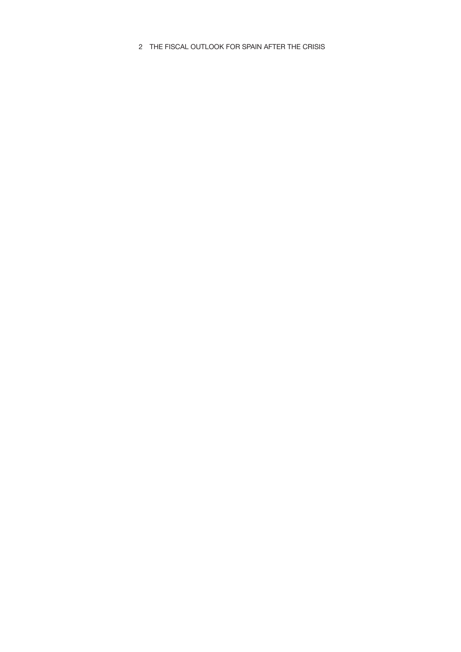2 THE FISCAL OUTLOOK FOR SPAIN AFTER THE CRISIS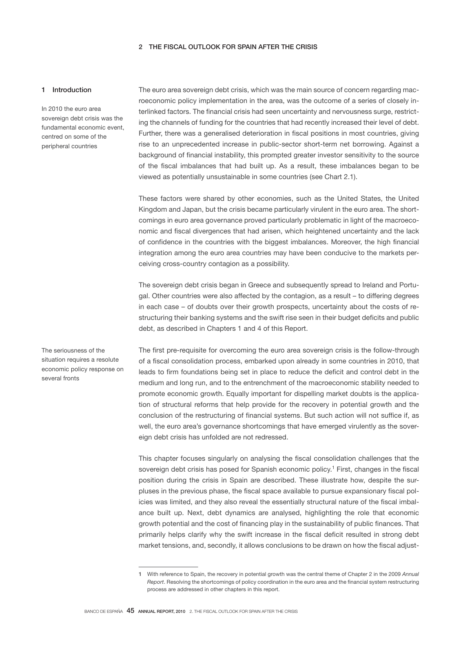## 2 THE FISCAL OUTLOOK FOR SPAIN AFTER THE CRISIS

## 1 Introduction

In 2010 the euro area sovereign debt crisis was the fundamental economic event, centred on some of the peripheral countries

The seriousness of the situation requires a resolute economic policy response on

several fronts

The euro area sovereign debt crisis, which was the main source of concern regarding macroeconomic policy implementation in the area, was the outcome of a series of closely interlinked factors. The financial crisis had seen uncertainty and nervousness surge, restricting the channels of funding for the countries that had recently increased their level of debt. Further, there was a generalised deterioration in fiscal positions in most countries, giving rise to an unprecedented increase in public-sector short-term net borrowing. Against a background of financial instability, this prompted greater investor sensitivity to the source of the fiscal imbalances that had built up. As a result, these imbalances began to be viewed as potentially unsustainable in some countries (see Chart 2.1).

These factors were shared by other economies, such as the United States, the United Kingdom and Japan, but the crisis became particularly virulent in the euro area. The shortcomings in euro area governance proved particularly problematic in light of the macroeconomic and fiscal divergences that had arisen, which heightened uncertainty and the lack of confidence in the countries with the biggest imbalances. Moreover, the high financial integration among the euro area countries may have been conducive to the markets perceiving cross-country contagion as a possibility.

The sovereign debt crisis began in Greece and subsequently spread to Ireland and Portugal. Other countries were also affected by the contagion, as a result – to differing degrees in each case – of doubts over their growth prospects, uncertainty about the costs of restructuring their banking systems and the swift rise seen in their budget deficits and public debt, as described in Chapters 1 and 4 of this Report.

The first pre-requisite for overcoming the euro area sovereign crisis is the follow-through of a fiscal consolidation process, embarked upon already in some countries in 2010, that leads to firm foundations being set in place to reduce the deficit and control debt in the medium and long run, and to the entrenchment of the macroeconomic stability needed to promote economic growth. Equally important for dispelling market doubts is the application of structural reforms that help provide for the recovery in potential growth and the conclusion of the restructuring of financial systems. But such action will not suffice if, as well, the euro area's governance shortcomings that have emerged virulently as the sovereign debt crisis has unfolded are not redressed.

This chapter focuses singularly on analysing the fiscal consolidation challenges that the sovereign debt crisis has posed for Spanish economic policy.<sup>1</sup> First, changes in the fiscal position during the crisis in Spain are described. These illustrate how, despite the surpluses in the previous phase, the fiscal space available to pursue expansionary fiscal policies was limited, and they also reveal the essentially structural nature of the fiscal imbalance built up. Next, debt dynamics are analysed, highlighting the role that economic growth potential and the cost of financing play in the sustainability of public finances. That primarily helps clarify why the swift increase in the fiscal deficit resulted in strong debt market tensions, and, secondly, it allows conclusions to be drawn on how the fiscal adjust-

<sup>1</sup> With reference to Spain, the recovery in potential growth was the central theme of Chapter 2 in the 2009 *Annual Report*. Resolving the shortcomings of policy coordination in the euro area and the financial system restructuring process are addressed in other chapters in this report.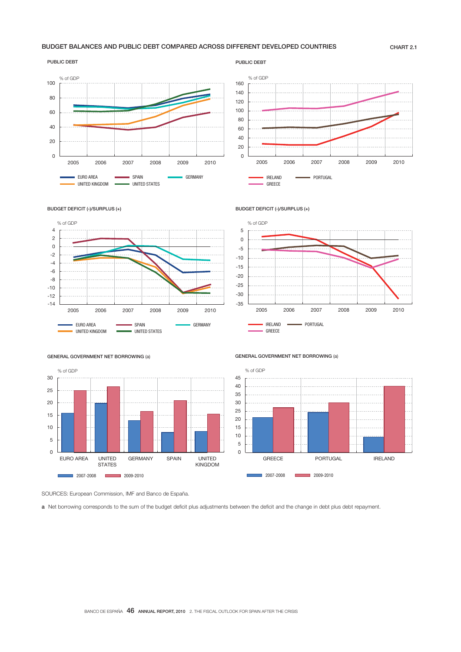## BUDGET BALANCES AND PUBLIC DEBT COMPARED ACROSS DIFFERENT DEVELOPED COUNTRIES CHART 2.1



#### PUBLIC DEBT







BUDGET DEFICIT (-)/SURPLUS (+)



GENERAL GOVERNMENT NET BORROWING (a)



GENERAL GOVERNMENT NET BORROWING (a)



SOURCES: European Commission, IMF and Banco de España.

a Net borrowing corresponds to the sum of the budget deficit plus adjustments between the deficit and the change in debt plus debt repayment.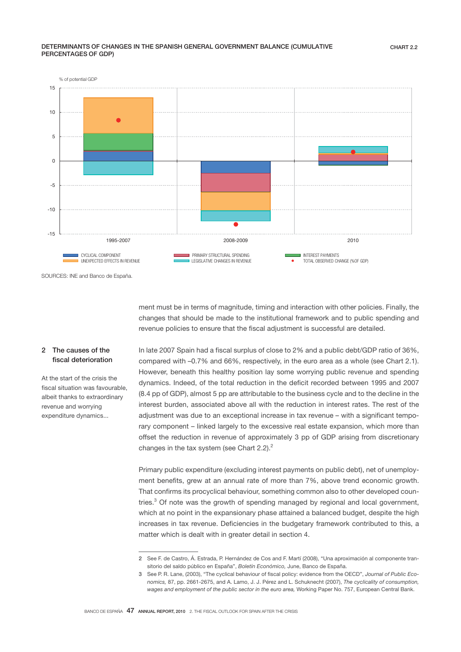## DETERMINANTS OF CHANGES IN THE SPANISH GENERAL GOVERNMENT BALANCE (CUMULATIVE PERCENTAGES OF GDP)



SOURCES: INE and Banco de España.

ment must be in terms of magnitude, timing and interaction with other policies. Finally, the changes that should be made to the institutional framework and to public spending and revenue policies to ensure that the fiscal adjustment is successful are detailed.

## 2 The causes of the fiscal deterioration

At the start of the crisis the fiscal situation was favourable, albeit thanks to extraordinary revenue and worrying expenditure dynamics...

In late 2007 Spain had a fiscal surplus of close to 2% and a public debt/GDP ratio of 36%, compared with –0.7% and 66%, respectively, in the euro area as a whole (see Chart 2.1). However, beneath this healthy position lay some worrying public revenue and spending dynamics. Indeed, of the total reduction in the deficit recorded between 1995 and 2007 (8.4 pp of GDP), almost 5 pp are attributable to the business cycle and to the decline in the interest burden, associated above all with the reduction in interest rates. The rest of the adjustment was due to an exceptional increase in tax revenue – with a significant temporary component – linked largely to the excessive real estate expansion, which more than offset the reduction in revenue of approximately 3 pp of GDP arising from discretionary changes in the tax system (see Chart  $2.2$ ).<sup>2</sup>

Primary public expenditure (excluding interest payments on public debt), net of unemployment benefits, grew at an annual rate of more than 7%, above trend economic growth. That confirms its procyclical behaviour, something common also to other developed countries.<sup>3</sup> Of note was the growth of spending managed by regional and local government, which at no point in the expansionary phase attained a balanced budget, despite the high increases in tax revenue. Deficiencies in the budgetary framework contributed to this, a matter which is dealt with in greater detail in section 4.

<sup>2</sup> See F. de Castro, Á. Estrada, P. Hernández de Cos and F. Martí (2008), "Una aproximación al componente transitorio del saldo público en España", *Boletín Económico,* June, Banco de España.

<sup>3</sup> See P. R. Lane, (2003), "The cyclical behaviour of fiscal policy: evidence from the OECD", *Journal of Public Economics,* 87, pp. 2661-2675, and A. Lamo, J. J. Pérez and L. Schuknecht (2007), *The cyclicality of consumption, wages and employment of the public sector in the euro area,* Working Paper No. 757, European Central Bank.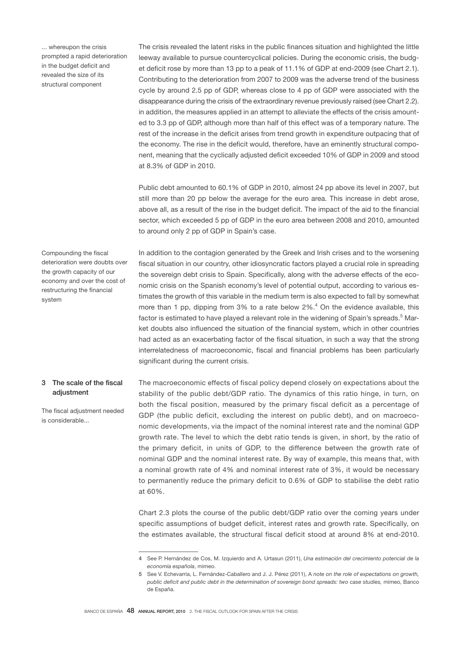... whereupon the crisis prompted a rapid deterioration in the budget deficit and revealed the size of its structural component

The crisis revealed the latent risks in the public finances situation and highlighted the little leeway available to pursue countercyclical policies. During the economic crisis, the budget deficit rose by more than 13 pp to a peak of 11.1% of GDP at end-2009 (see Chart 2.1). Contributing to the deterioration from 2007 to 2009 was the adverse trend of the business cycle by around 2.5 pp of GDP, whereas close to 4 pp of GDP were associated with the disappearance during the crisis of the extraordinary revenue previously raised (see Chart 2.2). in addition, the measures applied in an attempt to alleviate the effects of the crisis amounted to 3.3 pp of GDP, although more than half of this effect was of a temporary nature. The rest of the increase in the deficit arises from trend growth in expenditure outpacing that of the economy. The rise in the deficit would, therefore, have an eminently structural component, meaning that the cyclically adjusted deficit exceeded 10% of GDP in 2009 and stood at 8.3% of GDP in 2010.

Public debt amounted to 60.1% of GDP in 2010, almost 24 pp above its level in 2007, but still more than 20 pp below the average for the euro area. This increase in debt arose, above all, as a result of the rise in the budget deficit. The impact of the aid to the financial sector, which exceeded 5 pp of GDP in the euro area between 2008 and 2010, amounted to around only 2 pp of GDP in Spain's case.

In addition to the contagion generated by the Greek and Irish crises and to the worsening fiscal situation in our country, other idiosyncratic factors played a crucial role in spreading the sovereign debt crisis to Spain. Specifically, along with the adverse effects of the economic crisis on the Spanish economy's level of potential output, according to various estimates the growth of this variable in the medium term is also expected to fall by somewhat more than 1 pp, dipping from 3% to a rate below  $2\%$ .<sup>4</sup> On the evidence available, this factor is estimated to have played a relevant role in the widening of Spain's spreads.<sup>5</sup> Market doubts also influenced the situation of the financial system, which in other countries had acted as an exacerbating factor of the fiscal situation, in such a way that the strong interrelatedness of macroeconomic, fiscal and financial problems has been particularly significant during the current crisis.

## 3 The scale of the fiscal adjustment

Compounding the fiscal deterioration were doubts over the growth capacity of our economy and over the cost of restructuring the financial

system

The fiscal adjustment needed is considerable...

The macroeconomic effects of fiscal policy depend closely on expectations about the stability of the public debt/GDP ratio. The dynamics of this ratio hinge, in turn, on both the fiscal position, measured by the primary fiscal deficit as a percentage of GDP (the public deficit, excluding the interest on public debt), and on macroeconomic developments, via the impact of the nominal interest rate and the nominal GDP growth rate. The level to which the debt ratio tends is given, in short, by the ratio of the primary deficit, in units of GDP, to the difference between the growth rate of nominal GDP and the nominal interest rate. By way of example, this means that, with a nominal growth rate of 4% and nominal interest rate of 3%, it would be necessary to permanently reduce the primary deficit to 0.6% of GDP to stabilise the debt ratio at 60%.

Chart 2.3 plots the course of the public debt/GDP ratio over the coming years under specific assumptions of budget deficit, interest rates and growth rate. Specifically, on the estimates available, the structural fiscal deficit stood at around 8% at end-2010.

<sup>4</sup> See P. Hernández de Cos, M. Izquierdo and A. Urtasun (2011), *Una estimación del crecimiento potencial de la economía española*, mimeo.

<sup>5</sup> See V. Echevarría, L. Fernández-Caballero and J. J. Pérez (2011), A *note on the role of expectations on growth, public deficit and public debt in the determination of sovereign bond spreads: two case studies,* mimeo, Banco de España.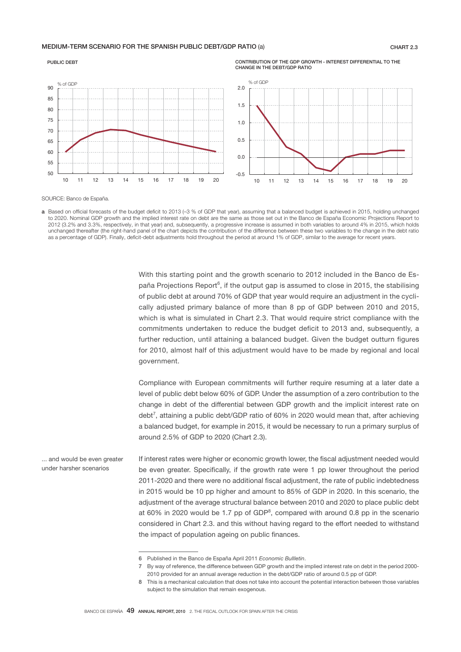## MEDIUM-TERM SCENARIO FOR THE SPANISH PUBLIC DEBT/GDP RATIO (a) CHART 2.3



PUBLIC DEBT

SOURCE: Banco de España.

a Based on official forecasts of the budget deficit to 2013 (-3 % of GDP that year), assuming that a balanced budget is achieved in 2015, holding unchanged to 2020. Nominal GDP growth and the implied interest rate on debt are the same as those set out in the Banco de España Economic Projections Report to 2012 (3.2% and 3.3%, respectively, in that year) and, subsequently, a progressive increase is assumed in both variables to around 4% in 2015, which holds unchanged thereafter (the right-hand panel of the chart depicts the contribution of the difference between these two variables to the change in the debt ratio as a percentage of GDP). Finally, deficit-debt adjustments hold throughout the period at around 1% of GDP, similar to the average for recent years.

With this starting point and the growth scenario to 2012 included in the Banco de España Projections Report<sup>6</sup>, if the output gap is assumed to close in 2015, the stabilising of public debt at around 70% of GDP that year would require an adjustment in the cyclically adjusted primary balance of more than 8 pp of GDP between 2010 and 2015, which is what is simulated in Chart 2.3. That would require strict compliance with the commitments undertaken to reduce the budget deficit to 2013 and, subsequently, a further reduction, until attaining a balanced budget. Given the budget outturn figures for 2010, almost half of this adjustment would have to be made by regional and local government.

CONTRIBUTION OF THE GDP GROWTH - INTEREST DIFFERENTIAL TO THE

CHANGE IN THE DEBT/GDP RATIO

Compliance with European commitments will further require resuming at a later date a level of public debt below 60% of GDP. Under the assumption of a zero contribution to the change in debt of the differential between GDP growth and the implicit interest rate on debt<sup>7</sup>, attaining a public debt/GDP ratio of 60% in 2020 would mean that, after achieving a balanced budget, for example in 2015, it would be necessary to run a primary surplus of around 2.5% of GDP to 2020 (Chart 2.3).

If interest rates were higher or economic growth lower, the fiscal adjustment needed would be even greater. Specifically, if the growth rate were 1 pp lower throughout the period 2011-2020 and there were no additional fiscal adjustment, the rate of public indebtedness in 2015 would be 10 pp higher and amount to 85% of GDP in 2020. In this scenario, the adjustment of the average structural balance between 2010 and 2020 to place public debt at 60% in 2020 would be 1.7 pp of GDP<sup>8</sup>, compared with around 0.8 pp in the scenario considered in Chart 2.3. and this without having regard to the effort needed to withstand the impact of population ageing on public finances. ... and would be even greater under harsher scenarios

<sup>6</sup> Published in the Banco de España April 2011 *Economic Bullletin*.

<sup>7</sup> By way of reference, the difference between GDP growth and the implied interest rate on debt in the period 2000- 2010 provided for an annual average reduction in the debt/GDP ratio of around 0.5 pp of GDP.

<sup>8</sup> This is a mechanical calculation that does not take into account the potential interaction between those variables subject to the simulation that remain exogenous.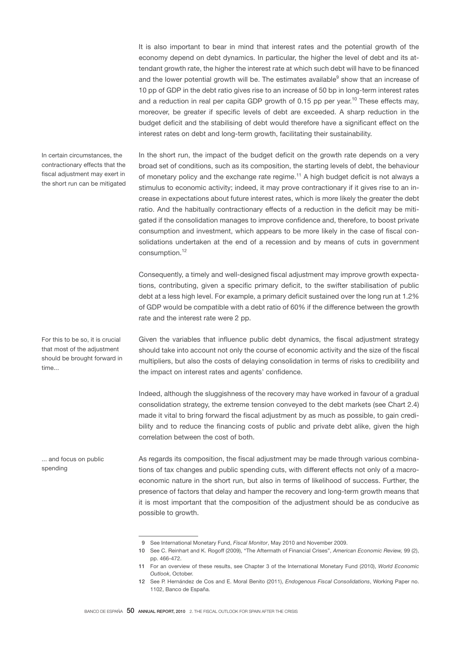It is also important to bear in mind that interest rates and the potential growth of the economy depend on debt dynamics. In particular, the higher the level of debt and its attendant growth rate, the higher the interest rate at which such debt will have to be financed and the lower potential growth will be. The estimates available<sup>9</sup> show that an increase of 10 pp of GDP in the debt ratio gives rise to an increase of 50 bp in long-term interest rates and a reduction in real per capita GDP growth of 0.15 pp per year.<sup>10</sup> These effects may, moreover, be greater if specific levels of debt are exceeded. A sharp reduction in the budget deficit and the stabilising of debt would therefore have a significant effect on the interest rates on debt and long-term growth, facilitating their sustainability.

In certain circumstances, the contractionary effects that the fiscal adjustment may exert in the short run can be mitigated In the short run, the impact of the budget deficit on the growth rate depends on a very broad set of conditions, such as its composition, the starting levels of debt, the behaviour of monetary policy and the exchange rate regime.11 A high budget deficit is not always a stimulus to economic activity; indeed, it may prove contractionary if it gives rise to an increase in expectations about future interest rates, which is more likely the greater the debt ratio. And the habitually contractionary effects of a reduction in the deficit may be mitigated if the consolidation manages to improve confidence and, therefore, to boost private consumption and investment, which appears to be more likely in the case of fiscal consolidations undertaken at the end of a recession and by means of cuts in government consumption.<sup>12</sup>

Consequently, a timely and well-designed fiscal adjustment may improve growth expectations, contributing, given a specific primary deficit, to the swifter stabilisation of public debt at a less high level. For example, a primary deficit sustained over the long run at 1.2% of GDP would be compatible with a debt ratio of 60% if the difference between the growth rate and the interest rate were 2 pp.

Given the variables that influence public debt dynamics, the fiscal adjustment strategy should take into account not only the course of economic activity and the size of the fiscal multipliers, but also the costs of delaying consolidation in terms of risks to credibility and the impact on interest rates and agents' confidence.

Indeed, although the sluggishness of the recovery may have worked in favour of a gradual consolidation strategy, the extreme tension conveyed to the debt markets (see Chart 2.4) made it vital to bring forward the fiscal adjustment by as much as possible, to gain credibility and to reduce the financing costs of public and private debt alike, given the high correlation between the cost of both.

As regards its composition, the fiscal adjustment may be made through various combinations of tax changes and public spending cuts, with different effects not only of a macroeconomic nature in the short run, but also in terms of likelihood of success. Further, the presence of factors that delay and hamper the recovery and long-term growth means that it is most important that the composition of the adjustment should be as conducive as possible to growth.

that most of the adjustment should be brought forward in time...

For this to be so, it is crucial

... and focus on public spending

 <sup>9</sup> See International Monetary Fund, *Fiscal Monitor*, May 2010 and November 2009.

<sup>10</sup> See C. Reinhart and K. Rogoff (2009), "The Aftermath of Financial Crises", *American Economic Review,* 99 (2), pp. 466-472.

<sup>11</sup> For an overview of these results, see Chapter 3 of the International Monetary Fund (2010), *World Economic Outlook*, October.

<sup>12</sup> See P. Hernández de Cos and E. Moral Benito (2011), *Endogenous Fiscal Consolidations*, Working Paper no. 1102, Banco de España.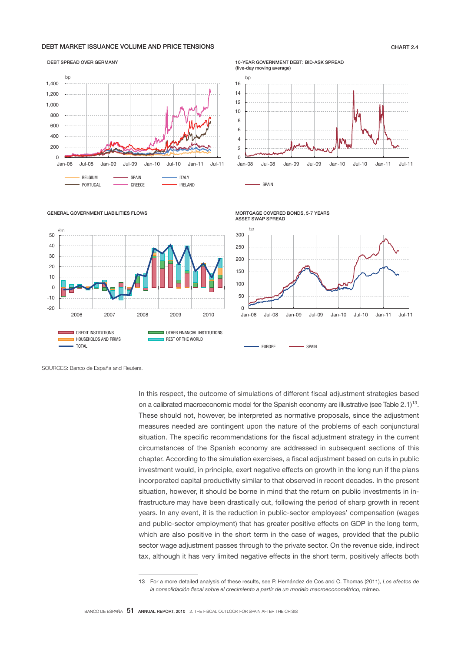## DEBT MARKET ISSUANCE VOLUME AND PRICE TENSIONS CHART 2.4

#### DEBT SPREAD OVER GERMANY



## 10-YEAR GOVERNMENT DEBT: BID-ASK SPREAD



SPAIN



GENERAL GOVERNMENT LIABILITIES FLOWS

SOURCES: Banco de España and Reuters.

In this respect, the outcome of simulations of different fiscal adjustment strategies based on a calibrated macroeconomic model for the Spanish economy are illustrative (see Table 2.1)13. These should not, however, be interpreted as normative proposals, since the adjustment measures needed are contingent upon the nature of the problems of each conjunctural situation. The specific recommendations for the fiscal adjustment strategy in the current circumstances of the Spanish economy are addressed in subsequent sections of this chapter. According to the simulation exercises, a fiscal adjustment based on cuts in public investment would, in principle, exert negative effects on growth in the long run if the plans incorporated capital productivity similar to that observed in recent decades. In the present situation, however, it should be borne in mind that the return on public investments in infrastructure may have been drastically cut, following the period of sharp growth in recent years. In any event, it is the reduction in public-sector employees' compensation (wages and public-sector employment) that has greater positive effects on GDP in the long term, which are also positive in the short term in the case of wages, provided that the public sector wage adjustment passes through to the private sector. On the revenue side, indirect tax, although it has very limited negative effects in the short term, positively affects both

<sup>13</sup> For a more detailed analysis of these results, see P. Hernández de Cos and C. Thomas (2011), *Los efectos de*  la consolidación fiscal sobre el crecimiento a partir de un modelo macroeconométrico, mimeo.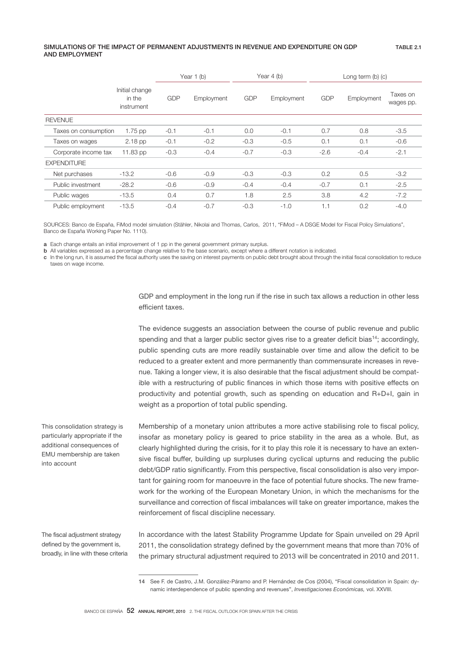## SIMULATIONS OF THE IMPACT OF PERMANENT ADJUSTMENTS IN REVENUE AND EXPENDITURE ON GDP AND EMPLOYMENT

|                      |                                        |            | Year $1$ (b) |            | Year $4$ (b) | Long term $(b)$ $(c)$ |            |                       |
|----------------------|----------------------------------------|------------|--------------|------------|--------------|-----------------------|------------|-----------------------|
|                      | Initial change<br>in the<br>instrument | <b>GDP</b> | Employment   | <b>GDP</b> | Employment   | <b>GDP</b>            | Employment | Taxes on<br>wages pp. |
| <b>REVENUE</b>       |                                        |            |              |            |              |                       |            |                       |
| Taxes on consumption | $1.75$ pp                              | $-0.1$     | $-0.1$       | 0.0        | $-0.1$       | 0.7                   | 0.8        | $-3.5$                |
| Taxes on wages       | $2.18$ pp                              | $-0.1$     | $-0.2$       | $-0.3$     | $-0.5$       | 0.1                   | 0.1        | $-0.6$                |
| Corporate income tax | 11.83 pp                               | $-0.3$     | $-0.4$       | $-0.7$     | $-0.3$       | $-2.6$                | $-0.4$     | $-2.1$                |
| <b>EXPENDITURE</b>   |                                        |            |              |            |              |                       |            |                       |
| Net purchases        | $-13.2$                                | $-0.6$     | $-0.9$       | $-0.3$     | $-0.3$       | 0.2                   | 0.5        | $-3.2$                |
| Public investment    | $-28.2$                                | $-0.6$     | $-0.9$       | $-0.4$     | $-0.4$       | $-0.7$                | 0.1        | $-2.5$                |
| Public wages         | $-13.5$                                | 0.4        | 0.7          | 1.8        | 2.5          | 3.8                   | 4.2        | $-7.2$                |
| Public employment    | $-13.5$                                | $-0.4$     | $-0.7$       | $-0.3$     | $-1.0$       | 1.1                   | 0.2        | $-4.0$                |

SOURCES: Banco de España, FiMod model simulation (Stähler, Nikolai and Thomas, Carlos, 2011, "FiMod – A DSGE Model for Fiscal Policy Simulations", Banco de España Working Paper No. 1110).

a Each change entails an initial improvement of 1 pp in the general government primary surplus.

b All variables expressed as a percentage change relative to the base scenario, except where a different notation is indicated.

c In the long run, it is assumed the jscal authority uses the saving on interest payments on public debt brought about through the initial jscal consolidation to reduce taxes on wage income.

> GDP and employment in the long run if the rise in such tax allows a reduction in other less efficient taxes.

> The evidence suggests an association between the course of public revenue and public spending and that a larger public sector gives rise to a greater deficit bias<sup>14</sup>; accordingly, public spending cuts are more readily sustainable over time and allow the deficit to be reduced to a greater extent and more permanently than commensurate increases in revenue. Taking a longer view, it is also desirable that the fiscal adjustment should be compatible with a restructuring of public finances in which those items with positive effects on productivity and potential growth, such as spending on education and R+D+I, gain in weight as a proportion of total public spending.

> Membership of a monetary union attributes a more active stabilising role to fiscal policy, insofar as monetary policy is geared to price stability in the area as a whole. But, as clearly highlighted during the crisis, for it to play this role it is necessary to have an extensive fiscal buffer, building up surpluses during cyclical upturns and reducing the public debt/GDP ratio significantly. From this perspective, fiscal consolidation is also very important for gaining room for manoeuvre in the face of potential future shocks. The new framework for the working of the European Monetary Union, in which the mechanisms for the surveillance and correction of fiscal imbalances will take on greater importance, makes the reinforcement of fiscal discipline necessary.

In accordance with the latest Stability Programme Update for Spain unveiled on 29 April 2011, the consolidation strategy defined by the government means that more than 70% of the primary structural adjustment required to 2013 will be concentrated in 2010 and 2011.

This consolidation strategy is particularly appropriate if the additional consequences of EMU membership are taken into account

The fiscal adjustment strategy defined by the government is, broadly, in line with these criteria

<sup>14</sup> See F. de Castro, J.M. González-Páramo and P. Hernández de Cos (2004), "Fiscal consolidation in Spain: dynamic interdependence of public spending and revenues", *Investigaciones Económicas,* vol. XXVIII.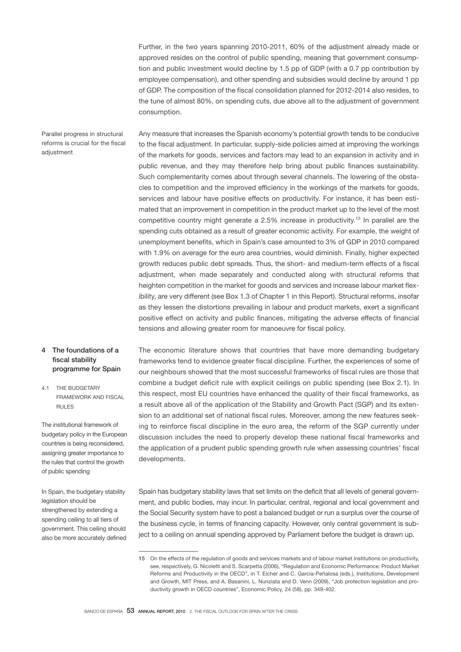Further, in the two years spanning 2010-2011, 60% of the adjustment already made or approved resides on the control of public spending, meaning that government consumption and public investment would decline by 1.5 pp of GDP (with a 0.7 pp contribution by employee compensation), and other spending and subsidies would decline by around 1 pp of GDP. The composition of the fiscal consolidation planned for 2012-2014 also resides, to the tune of almost 80%, on spending cuts, due above all to the adjustment of government consumption.

Parallel progress in structural reforms is crucial for the fiscal adjustment

Any measure that increases the Spanish economy's potential growth tends to be conducive to the fiscal adjustment. In particular, supply-side policies aimed at improving the workings of the markets for goods, services and factors may lead to an expansion in activity and in public revenue, and they may therefore help bring about public finances sustainability. Such complementarity comes about through several channels. The lowering of the obstacles to competition and the improved efficiency in the workings of the markets for goods, services and labour have positive effects on productivity. For instance, it has been estimated that an improvement in competition in the product market up to the level of the most competitive country might generate a 2.5% increase in productivity.<sup>15</sup> In parallel are the spending cuts obtained as a result of greater economic activity. For example, the weight of unemployment benefits, which in Spain's case amounted to 3% of GDP in 2010 compared with 1.9% on average for the euro area countries, would diminish. Finally, higher expected growth reduces public debt spreads. Thus, the short- and medium-term effects of a fiscal adjustment, when made separately and conducted along with structural reforms that heighten competition in the market for goods and services and increase labour market flexibility, are very different (see Box 1.3 of Chapter 1 in this Report). Structural reforms, insofar as they lessen the distortions prevailing in labour and product markets, exert a significant positive effect on activity and public finances, mitigating the adverse effects of financial tensions and allowing greater room for manoeuvre for fiscal policy.

## 4 The foundations of a fiscal stability programme for Spain

4.1 THE BUDGETARY FRAMEWORK AND FISCAL RULES

The institutional framework of budgetary policy in the European countries is being reconsidered, assigning greater importance to the rules that control the growth of public spending

In Spain, the budgetary stability legislation should be strengthened by extending a spending ceiling to all tiers of government. This ceiling should also be more accurately defined The economic literature shows that countries that have more demanding budgetary frameworks tend to evidence greater fiscal discipline. Further, the experiences of some of our neighbours showed that the most successful frameworks of fiscal rules are those that combine a budget deficit rule with explicit ceilings on public spending (see Box 2.1). In this respect, most EU countries have enhanced the quality of their fiscal frameworks, as a result above all of the application of the Stability and Growth Pact (SGP) and its extension to an additional set of national fiscal rules. Moreover, among the new features seeking to reinforce fiscal discipline in the euro area, the reform of the SGP currently under discussion includes the need to properly develop these national fiscal frameworks and the application of a prudent public spending growth rule when assessing countries' fiscal developments.

Spain has budgetary stability laws that set limits on the deficit that all levels of general government, and public bodies, may incur. In particular, central, regional and local government and the Social Security system have to post a balanced budget or run a surplus over the course of the business cycle, in terms of financing capacity. However, only central government is subject to a ceiling on annual spending approved by Parliament before the budget is drawn up.

<sup>15</sup> On the effects of the regulation of goods and services markets and of labour market institutions on productivity, see, respectively, G. Nicoletti and S. Scarpetta (2006), "Regulation and Economic Performance: Product Market Reforms and Productivity in the OECD", in T. Eicher and C. García-Peñalosa (eds.), Institutions, Development and Growth, MIT Press, and A. Basanini, L. Nunziata and D. Venn (2009), "Job protection legislation and productivity growth in OECD countries", Economic Policy, 24 (58), pp. 349-402.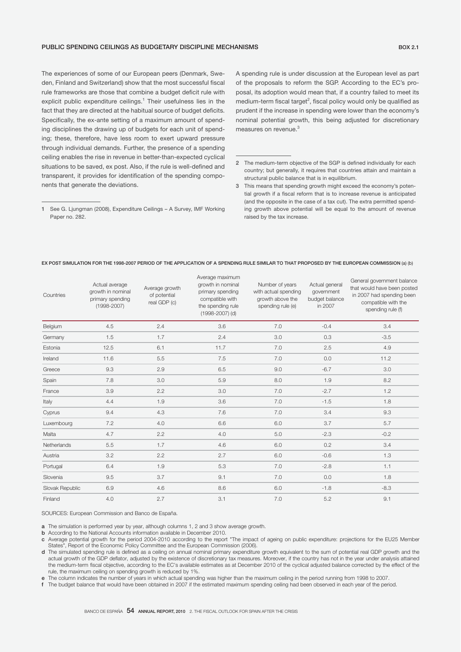## PUBLIC SPENDING CEILINGS AS BUDGETARY DISCIPLINE MECHANISMS **BOX 2.1 BOX 2.1**

The experiences of some of our European peers (Denmark, Sweden, Finland and Switzerland) show that the most successful fiscal rule frameworks are those that combine a budget deficit rule with explicit public expenditure ceilings.<sup>1</sup> Their usefulness lies in the fact that they are directed at the habitual source of budget deficits. Specifically, the ex-ante setting of a maximum amount of spending disciplines the drawing up of budgets for each unit of spending; these, therefore, have less room to exert upward pressure through individual demands. Further, the presence of a spending ceiling enables the rise in revenue in better-than-expected cyclical situations to be saved, ex post. Also, if the rule is well-defined and transparent, it provides for identification of the spending components that generate the deviations.

A spending rule is under discussion at the European level as part of the proposals to reform the SGP. According to the EC's proposal, its adoption would mean that, if a country failed to meet its  $median$ -term fiscal target<sup>2</sup>, fiscal policy would only be qualified as prudent if the increase in spending were lower than the economy's nominal potential growth, this being adjusted for discretionary measures on revenue.<sup>3</sup>

| Countries       | Actual average<br>growth in nominal<br>primary spending<br>$(1998 - 2007)$ | Average growth<br>of potential<br>real GDP (c) | Average maximum<br>growth in nominal<br>primary spending<br>compatible with<br>the spending rule<br>$(1998 - 2007)$ (d) | Number of years<br>with actual spending<br>growth above the<br>spending rule (e) | Actual general<br>government<br>budget balance<br>in 2007 | General government balance<br>that would have been posted<br>in 2007 had spending been<br>compatible with the<br>spending rule (f) |
|-----------------|----------------------------------------------------------------------------|------------------------------------------------|-------------------------------------------------------------------------------------------------------------------------|----------------------------------------------------------------------------------|-----------------------------------------------------------|------------------------------------------------------------------------------------------------------------------------------------|
| Belgium         | 4.5                                                                        | 2.4                                            | 3.6                                                                                                                     | 7.0                                                                              | $-0.4$                                                    | 3.4                                                                                                                                |
| Germany         | 1.5                                                                        | 1.7                                            | 2.4                                                                                                                     | 3.0                                                                              | 0.3                                                       | $-3.5$                                                                                                                             |
| Estonia         | 12.5                                                                       | 6.1                                            | 11.7                                                                                                                    | 7.0                                                                              | 2.5                                                       | 4.9                                                                                                                                |
| Ireland         | 11.6                                                                       | 5.5                                            | 7.5                                                                                                                     | 7.0                                                                              | 0.0                                                       | 11.2                                                                                                                               |
| Greece          | 9.3                                                                        | 2.9                                            | 6.5                                                                                                                     | 9.0                                                                              | $-6.7$                                                    | 3.0                                                                                                                                |
| Spain           | 7.8                                                                        | 3.0                                            | 5.9                                                                                                                     | 8.0                                                                              | 1.9                                                       | 8.2                                                                                                                                |
| France          | 3.9                                                                        | 2.2                                            | 3.0                                                                                                                     | 7.0                                                                              | $-2.7$                                                    | 1.2                                                                                                                                |
| Italy           | 4.4                                                                        | 1.9                                            | 3.6                                                                                                                     | 7.0                                                                              | $-1.5$                                                    | 1.8                                                                                                                                |
| Cyprus          | 9.4                                                                        | 4.3                                            | 7.6                                                                                                                     | 7.0                                                                              | 3.4                                                       | 9.3                                                                                                                                |
| Luxembourg      | 7.2                                                                        | 4.0                                            | 6.6                                                                                                                     | 6.0                                                                              | 3.7                                                       | 5.7                                                                                                                                |
| Malta           | 4.7                                                                        | 2.2                                            | 4.0                                                                                                                     | 5.0                                                                              | $-2.3$                                                    | $-0.2$                                                                                                                             |
| Netherlands     | 5.5                                                                        | 1.7                                            | 4.6                                                                                                                     | 6.0                                                                              | 0.2                                                       | 3.4                                                                                                                                |
| Austria         | 3.2                                                                        | 2.2                                            | 2.7                                                                                                                     | 6.0                                                                              | $-0.6$                                                    | 1.3                                                                                                                                |
| Portugal        | 6.4                                                                        | 1.9                                            | 5.3                                                                                                                     | 7.0                                                                              | $-2.8$                                                    | 1.1                                                                                                                                |
| Slovenia        | 9.5                                                                        | 3.7                                            | 9.1                                                                                                                     | 7.0                                                                              | 0.0                                                       | 1.8                                                                                                                                |
| Slovak Republic | 6.9                                                                        | 4.6                                            | 8.6                                                                                                                     | 6.0                                                                              | $-1.8$                                                    | $-8.3$                                                                                                                             |
| Finland         | 4.0                                                                        | 2.7                                            | 3.1                                                                                                                     | 7.0                                                                              | 5.2                                                       | 9.1                                                                                                                                |

#### EX POST SIMULATION FOR THE 1998-2007 PERIOD OF THE APPLICATION OF A SPENDING RULE SIMILAR TO THAT PROPOSED BY THE EUROPEAN COMMISSION (a) (b)

SOURCES: European Commission and Banco de España.

a The simulation is performed year by year, although columns 1, 2 and 3 show average growth.

**b** According to the National Accounts information available in December 2010.

c Average potential growth for the period 2004-2010 according to the report "The impact of ageing on public expenditure: projections for the EU25 Member States", Report of the Economic Policy Committee and the European Commission (2006).

d The simulated spending rule is dejned as a ceiling on annual nominal primary expenditure growth equivalent to the sum of potential real GDP growth and the actual growth of the GDP deflator, adjusted by the existence of discretionary tax measures. Moreover, if the country has not in the year under analysis attained the medium-term jscal objective, according to the EC's available estimates as at December 2010 of the cyclical adjusted balance corrected by the effect of the rule, the maximum ceiling on spending growth is reduced by 1%.

e The column indicates the number of years in which actual spending was higher than the maximum ceiling in the period running from 1998 to 2007.

f The budget balance that would have been obtained in 2007 if the estimated maximum spending ceiling had been observed in each year of the period.

<sup>1</sup> See G. Ljungman (2008), Expenditure Ceilings – A Survey, IMF Working Paper no. 282.

<sup>2</sup> The medium-term objective of the SGP is defined individually for each country; but generally, it requires that countries attain and maintain a structural public balance that is in equilibrium.

<sup>3</sup> This means that spending growth might exceed the economy's potential growth if a fiscal reform that is to increase revenue is anticipated (and the opposite in the case of a tax cut). The extra permitted spending growth above potential will be equal to the amount of revenue raised by the tax increase.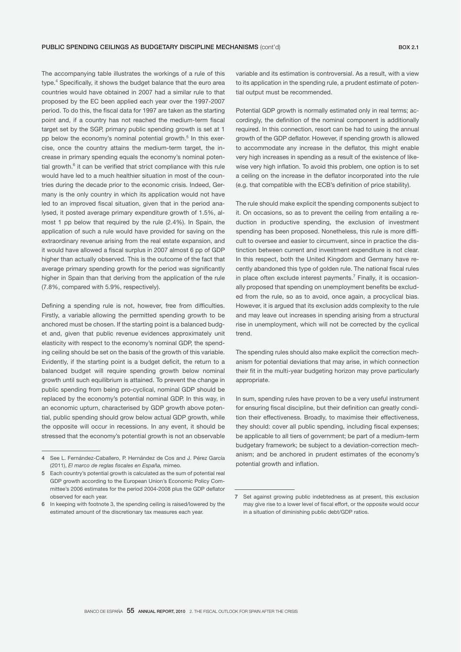The accompanying table illustrates the workings of a rule of this type.<sup>4</sup> Specifically, it shows the budget balance that the euro area countries would have obtained in 2007 had a similar rule to that proposed by the EC been applied each year over the 1997-2007 period. To do this, the fiscal data for 1997 are taken as the starting point and, if a country has not reached the medium-term fiscal target set by the SGP, primary public spending growth is set at 1 pp below the economy's nominal potential growth.<sup>5</sup> In this exercise, once the country attains the medium-term target, the increase in primary spending equals the economy's nominal potential growth.<sup>6</sup> it can be verified that strict compliance with this rule would have led to a much healthier situation in most of the countries during the decade prior to the economic crisis. Indeed, Germany is the only country in which its application would not have led to an improved fiscal situation, given that in the period analysed, it posted average primary expenditure growth of 1.5%, almost 1 pp below that required by the rule (2.4%). In Spain, the application of such a rule would have provided for saving on the extraordinary revenue arising from the real estate expansion, and it would have allowed a fiscal surplus in 2007 almost 6 pp of GDP higher than actually observed. This is the outcome of the fact that average primary spending growth for the period was significantly higher in Spain than that deriving from the application of the rule (7.8%, compared with 5.9%, respectively).

Defining a spending rule is not, however, free from difficulties. Firstly, a variable allowing the permitted spending growth to be anchored must be chosen. If the starting point is a balanced budget and, given that public revenue evidences approximately unit elasticity with respect to the economy's nominal GDP, the spending ceiling should be set on the basis of the growth of this variable. Evidently, if the starting point is a budget deficit, the return to a balanced budget will require spending growth below nominal growth until such equilibrium is attained. To prevent the change in public spending from being pro-cyclical, nominal GDP should be replaced by the economy's potential nominal GDP. In this way, in an economic upturn, characterised by GDP growth above potential, public spending should grow below actual GDP growth, while the opposite will occur in recessions. In any event, it should be stressed that the economy's potential growth is not an observable

variable and its estimation is controversial. As a result, with a view to its application in the spending rule, a prudent estimate of potential output must be recommended.

Potential GDP growth is normally estimated only in real terms; accordingly, the definition of the nominal component is additionally required. In this connection, resort can be had to using the annual growth of the GDP deflator. However, if spending growth is allowed to accommodate any increase in the deflator, this might enable very high increases in spending as a result of the existence of likewise very high inflation. To avoid this problem, one option is to set a ceiling on the increase in the deflator incorporated into the rule (e.g. that compatible with the ECB's definition of price stability).

The rule should make explicit the spending components subject to it. On occasions, so as to prevent the ceiling from entailing a reduction in productive spending, the exclusion of investment spending has been proposed. Nonetheless, this rule is more difficult to oversee and easier to circumvent, since in practice the distinction between current and investment expenditure is not clear. In this respect, both the United Kingdom and Germany have recently abandoned this type of golden rule. The national fiscal rules in place often exclude interest payments.<sup>7</sup> Finally, it is occasionally proposed that spending on unemployment benefits be excluded from the rule, so as to avoid, once again, a procyclical bias. However, it is argued that its exclusion adds complexity to the rule and may leave out increases in spending arising from a structural rise in unemployment, which will not be corrected by the cyclical trend.

The spending rules should also make explicit the correction mechanism for potential deviations that may arise, in which connection their fit in the multi-year budgeting horizon may prove particularly appropriate.

In sum, spending rules have proven to be a very useful instrument for ensuring fiscal discipline, but their definition can greatly condition their effectiveness. Broadly, to maximise their effectiveness, they should: cover all public spending, including fiscal expenses; be applicable to all tiers of government; be part of a medium-term budgetary framework; be subject to a deviation-correction mechanism; and be anchored in prudent estimates of the economy's potential growth and inflation.

<sup>4</sup> See L. Fernández-Caballero, P. Hernández de Cos and J. Pérez García (2011), *El marco de reglas fiscales en España,* mimeo.

<sup>5</sup> Each country's potential growth is calculated as the sum of potential real GDP growth according to the European Union's Economic Policy Committee's 2006 estimates for the period 2004-2008 plus the GDP deflator observed for each year.

<sup>6</sup> In keeping with footnote 3, the spending ceiling is raised/lowered by the estimated amount of the discretionary tax measures each year.

<sup>7</sup> Set against growing public indebtedness as at present, this exclusion may give rise to a lower level of fiscal effort, or the opposite would occur in a situation of diminishing public debt/GDP ratios.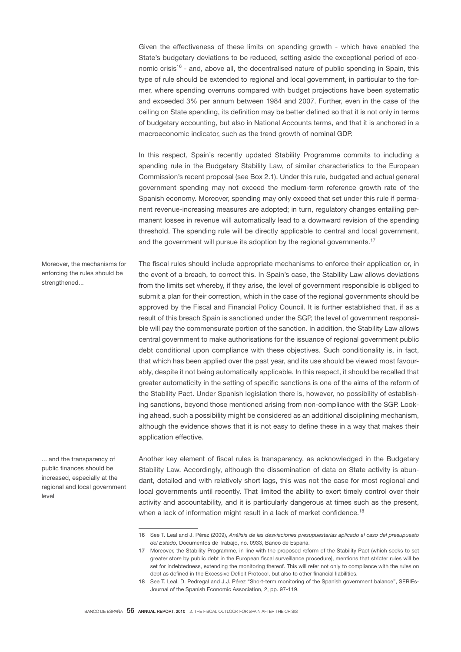Given the effectiveness of these limits on spending growth - which have enabled the State's budgetary deviations to be reduced, setting aside the exceptional period of economic crisis<sup>16</sup> - and, above all, the decentralised nature of public spending in Spain, this type of rule should be extended to regional and local government, in particular to the former, where spending overruns compared with budget projections have been systematic and exceeded 3% per annum between 1984 and 2007. Further, even in the case of the ceiling on State spending, its definition may be better defined so that it is not only in terms of budgetary accounting, but also in National Accounts terms, and that it is anchored in a macroeconomic indicator, such as the trend growth of nominal GDP.

In this respect, Spain's recently updated Stability Programme commits to including a spending rule in the Budgetary Stability Law, of similar characteristics to the European Commission's recent proposal (see Box 2.1). Under this rule, budgeted and actual general government spending may not exceed the medium-term reference growth rate of the Spanish economy. Moreover, spending may only exceed that set under this rule if permanent revenue-increasing measures are adopted; in turn, regulatory changes entailing permanent losses in revenue will automatically lead to a downward revision of the spending threshold. The spending rule will be directly applicable to central and local government, and the government will pursue its adoption by the regional governments.<sup>17</sup>

The fiscal rules should include appropriate mechanisms to enforce their application or, in

Moreover, the mechanisms for enforcing the rules should be strengthened...

the event of a breach, to correct this. In Spain's case, the Stability Law allows deviations from the limits set whereby, if they arise, the level of government responsible is obliged to submit a plan for their correction, which in the case of the regional governments should be approved by the Fiscal and Financial Policy Council. It is further established that, if as a result of this breach Spain is sanctioned under the SGP, the level of government responsible will pay the commensurate portion of the sanction. In addition, the Stability Law allows central government to make authorisations for the issuance of regional government public debt conditional upon compliance with these objectives. Such conditionality is, in fact, that which has been applied over the past year, and its use should be viewed most favourably, despite it not being automatically applicable. In this respect, it should be recalled that greater automaticity in the setting of specific sanctions is one of the aims of the reform of the Stability Pact. Under Spanish legislation there is, however, no possibility of establishing sanctions, beyond those mentioned arising from non-compliance with the SGP. Looking ahead, such a possibility might be considered as an additional disciplining mechanism, although the evidence shows that it is not easy to define these in a way that makes their application effective.

... and the transparency of public finances should be increased, especially at the regional and local government level

Another key element of fiscal rules is transparency, as acknowledged in the Budgetary Stability Law. Accordingly, although the dissemination of data on State activity is abundant, detailed and with relatively short lags, this was not the case for most regional and local governments until recently. That limited the ability to exert timely control over their activity and accountability, and it is particularly dangerous at times such as the present, when a lack of information might result in a lack of market confidence.<sup>18</sup>

<sup>16</sup> See T. Leal and J. Pérez (2009), *Análisis de las desviaciones presupuestarias aplicado al caso del presupuesto del Estado,* Documentos de Trabajo, no. 0933, Banco de España.

<sup>17</sup> Moreover, the Stability Programme, in line with the proposed reform of the Stability Pact (which seeks to set greater store by public debt in the European fiscal surveillance procedure), mentions that stricter rules will be set for indebtedness, extending the monitoring thereof. This will refer not only to compliance with the rules on debt as defined in the Excessive Deficit Protocol, but also to other financial liabilities.

<sup>18</sup> See T. Leal, D. Pedregal and J.J. Pérez "Short-term monitoring of the Spanish government balance", SERIEs-Journal of the Spanish Economic Association, 2, pp. 97-119.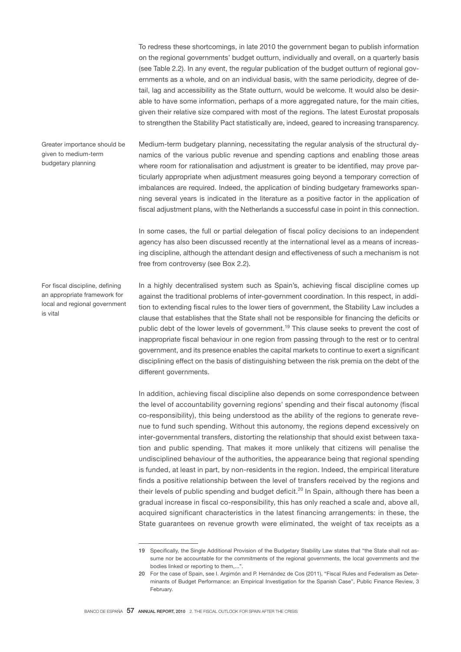To redress these shortcomings, in late 2010 the government began to publish information on the regional governments' budget outturn, individually and overall, on a quarterly basis (see Table 2.2). In any event, the regular publication of the budget outturn of regional governments as a whole, and on an individual basis, with the same periodicity, degree of detail, lag and accessibility as the State outturn, would be welcome. It would also be desirable to have some information, perhaps of a more aggregated nature, for the main cities, given their relative size compared with most of the regions. The latest Eurostat proposals to strengthen the Stability Pact statistically are, indeed, geared to increasing transparency.

Medium-term budgetary planning, necessitating the regular analysis of the structural dynamics of the various public revenue and spending captions and enabling those areas where room for rationalisation and adjustment is greater to be identified, may prove particularly appropriate when adjustment measures going beyond a temporary correction of imbalances are required. Indeed, the application of binding budgetary frameworks spanning several years is indicated in the literature as a positive factor in the application of fiscal adjustment plans, with the Netherlands a successful case in point in this connection. Greater importance should be given to medium-term budgetary planning

> In some cases, the full or partial delegation of fiscal policy decisions to an independent agency has also been discussed recently at the international level as a means of increasing discipline, although the attendant design and effectiveness of such a mechanism is not free from controversy (see Box 2.2).

For fiscal discipline, defining an appropriate framework for local and regional government is vital

In a highly decentralised system such as Spain's, achieving fiscal discipline comes up against the traditional problems of inter-government coordination. In this respect, in addition to extending fiscal rules to the lower tiers of government, the Stability Law includes a clause that establishes that the State shall not be responsible for financing the deficits or public debt of the lower levels of government.<sup>19</sup> This clause seeks to prevent the cost of inappropriate fiscal behaviour in one region from passing through to the rest or to central government, and its presence enables the capital markets to continue to exert a significant disciplining effect on the basis of distinguishing between the risk premia on the debt of the different governments.

In addition, achieving fiscal discipline also depends on some correspondence between the level of accountability governing regions' spending and their fiscal autonomy (fiscal co-responsibility), this being understood as the ability of the regions to generate revenue to fund such spending. Without this autonomy, the regions depend excessively on inter-governmental transfers, distorting the relationship that should exist between taxation and public spending. That makes it more unlikely that citizens will penalise the undisciplined behaviour of the authorities, the appearance being that regional spending is funded, at least in part, by non-residents in the region. Indeed, the empirical literature finds a positive relationship between the level of transfers received by the regions and their levels of public spending and budget deficit.<sup>20</sup> In Spain, although there has been a gradual increase in fiscal co-responsibility, this has only reached a scale and, above all, acquired significant characteristics in the latest financing arrangements: in these, the State guarantees on revenue growth were eliminated, the weight of tax receipts as a

<sup>19</sup> Specifically, the Single Additional Provision of the Budgetary Stability Law states that "the State shall not assume nor be accountable for the commitments of the regional governments, the local governments and the bodies linked or reporting to them,...".

<sup>20</sup> For the case of Spain, see I. Argimón and P. Hernández de Cos (2011), "Fiscal Rules and Federalism as Determinants of Budget Performance: an Empirical Investigation for the Spanish Case", Public Finance Review, 3 February.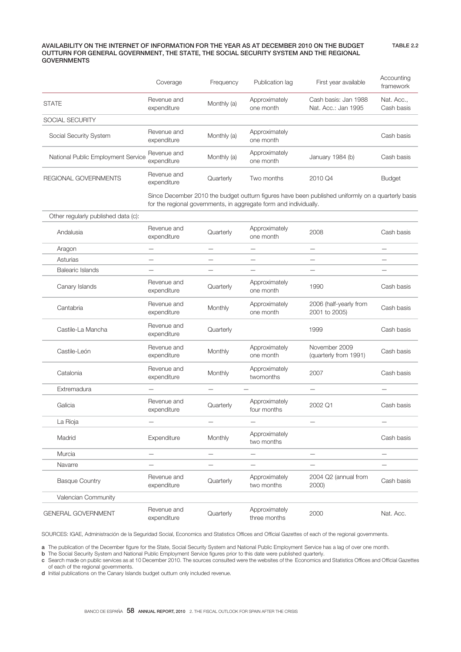## AVAILABILITY ON THE INTERNET OF INFORMATION FOR THE YEAR AS AT DECEMBER 2010 ON THE BUDGET OUTTURN FOR GENERAL GOVERNMENT, THE STATE, THE SOCIAL SECURITY SYSTEM AND THE REGIONAL GOVERNMENTS

|                                    | Coverage                   | Frequency   | Publication lag            | First year available                        | Accounting<br>framework  |
|------------------------------------|----------------------------|-------------|----------------------------|---------------------------------------------|--------------------------|
| <b>STATE</b>                       | Revenue and<br>expenditure | Monthly (a) | Approximately<br>one month | Cash basis: Jan 1988<br>Nat. Acc.: Jan 1995 | Nat. Acc.,<br>Cash basis |
| SOCIAL SECURITY                    |                            |             |                            |                                             |                          |
| Social Security System             | Revenue and<br>expenditure | Monthly (a) | Approximately<br>one month |                                             | Cash basis               |
| National Public Employment Service | Revenue and<br>expenditure | Monthly (a) | Approximately<br>one month | January 1984 (b)                            | Cash basis               |
| REGIONAL GOVERNMENTS               | Revenue and<br>expenditure | Quarterly   | Two months                 | 2010 Q4                                     | <b>Budget</b>            |

Since December 2010 the budget outturn figures have been published uniformly on a quarterly basis for the regional governments, in aggregate form and individually.

TABLE 2.2

| Other regularly published data (c): |                            |                          |                               |                                         |                          |
|-------------------------------------|----------------------------|--------------------------|-------------------------------|-----------------------------------------|--------------------------|
| Andalusia                           | Revenue and<br>expenditure | Quarterly                | Approximately<br>one month    | 2008                                    | Cash basis               |
| Aragon                              | $\qquad \qquad$            | $\overline{\phantom{0}}$ | $\overline{\phantom{0}}$      | $\overline{\phantom{0}}$                | $\overline{\phantom{0}}$ |
| Asturias                            | $\overline{\phantom{0}}$   |                          | $\overline{\phantom{0}}$      | $\overline{\phantom{0}}$                | $\overline{\phantom{0}}$ |
| <b>Balearic Islands</b>             |                            |                          | $\overline{\phantom{0}}$      |                                         |                          |
| Canary Islands                      | Revenue and<br>expenditure | Quarterly                | Approximately<br>one month    | 1990                                    | Cash basis               |
| Cantabria                           | Revenue and<br>expenditure | Monthly                  | Approximately<br>one month    | 2006 (half-yearly from<br>2001 to 2005) | Cash basis               |
| Castile-La Mancha                   | Revenue and<br>expenditure | Quarterly                |                               | 1999                                    | Cash basis               |
| Castile-León                        | Revenue and<br>expenditure | Monthly                  | Approximately<br>one month    | November 2009<br>(quarterly from 1991)  | Cash basis               |
| Catalonia                           | Revenue and<br>expenditure | Monthly                  | Approximately<br>twomonths    | 2007                                    | Cash basis               |
| Extremadura                         |                            | $\overline{\phantom{0}}$ |                               | $\overline{\phantom{0}}$                |                          |
| Galicia                             | Revenue and<br>expenditure | Quarterly                | Approximately<br>four months  | 2002 Q1                                 | Cash basis               |
| La Rioja                            | $\overline{\phantom{0}}$   |                          | $\overline{\phantom{0}}$      | —                                       | $\overline{\phantom{0}}$ |
| Madrid                              | Expenditure                | Monthly                  | Approximately<br>two months   |                                         | Cash basis               |
| Murcia                              | $\overline{\phantom{0}}$   |                          | $\overline{\phantom{0}}$      | $\overline{\phantom{0}}$                | —                        |
| Navarre                             |                            |                          |                               |                                         |                          |
| <b>Basque Country</b>               | Revenue and<br>expenditure | Quarterly                | Approximately<br>two months   | 2004 Q2 (annual from<br>2000)           | Cash basis               |
| Valencian Community                 |                            |                          |                               |                                         |                          |
| <b>GENERAL GOVERNMENT</b>           | Revenue and<br>expenditure | Quarterly                | Approximately<br>three months | 2000                                    | Nat. Acc.                |

SOURCES: IGAE, Administración de la Seguridad Social, Economics and Statistics Offices and Official Gazettes of each of the regional governments.

a The publication of the December figure for the State, Social Security System and National Public Employment Service has a lag of over one month.

b The Social Security System and National Public Employment Service figures prior to this date were published quarterly.

c Search made on public services as at 10 December 2010. The sources consulted were the websites of the Economics and Statistics Offices and Official Gazettes of each of the regional governments.

d Initial publications on the Canary Islands budget outturn only included revenue.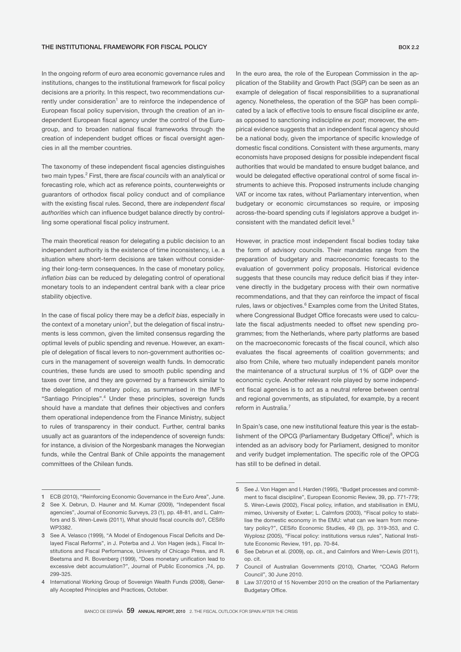In the ongoing reform of euro area economic governance rules and institutions, changes to the institutional framework for fiscal policy decisions are a priority. In this respect, two recommendations currently under consideration<sup>1</sup> are to reinforce the independence of European fiscal policy supervision, through the creation of an independent European fiscal agency under the control of the Eurogroup, and to broaden national fiscal frameworks through the creation of independent budget offices or fiscal oversight agencies in all the member countries.

The taxonomy of these independent fiscal agencies distinguishes two main types.<sup>2</sup> First, there are *fiscal councils* with an analytical or forecasting role, which act as reference points, counterweights or guarantors of orthodox fiscal policy conduct and of compliance with the existing fiscal rules. Second, there are *independent fiscal authorities* which can influence budget balance directly by controlling some operational fiscal policy instrument.

The main theoretical reason for delegating a public decision to an independent authority is the existence of time inconsistency, i.e. a situation where short-term decisions are taken without considering their long-term consequences. In the case of monetary policy, *inflation bias* can be reduced by delegating control of operational monetary tools to an independent central bank with a clear price stability objective.

In the case of fiscal policy there may be a *deficit bias*, especially in the context of a monetary union $^3$ , but the delegation of fiscal instruments is less common, given the limited consensus regarding the optimal levels of public spending and revenue. However, an example of delegation of fiscal levers to non-government authorities occurs in the management of sovereign wealth funds. In democratic countries, these funds are used to smooth public spending and taxes over time, and they are governed by a framework similar to the delegation of monetary policy, as summarised in the IMF's "Santiago Principles".4 Under these principles, sovereign funds should have a mandate that defines their objectives and confers them operational independence from the Finance Ministry, subject to rules of transparency in their conduct. Further, central banks usually act as guarantors of the independence of sovereign funds: for instance, a division of the Norgesbank manages the Norwegian funds, while the Central Bank of Chile appoints the management committees of the Chilean funds.

In the euro area, the role of the European Commission in the application of the Stability and Growth Pact (SGP) can be seen as an example of delegation of fiscal responsibilities to a supranational agency. Nonetheless, the operation of the SGP has been complicated by a lack of effective tools to ensure fiscal discipline *ex ante*, as opposed to sanctioning indiscipline *ex post*; moreover, the empirical evidence suggests that an independent fiscal agency should be a national body, given the importance of specific knowledge of domestic fiscal conditions. Consistent with these arguments, many economists have proposed designs for possible independent fiscal authorities that would be mandated to ensure budget balance, and would be delegated effective operational control of some fiscal instruments to achieve this. Proposed instruments include changing VAT or income tax rates, without Parliamentary intervention, when budgetary or economic circumstances so require, or imposing across-the-board spending cuts if legislators approve a budget inconsistent with the mandated deficit level.<sup>5</sup>

However, in practice most independent fiscal bodies today take the form of advisory councils. Their mandates range from the preparation of budgetary and macroeconomic forecasts to the evaluation of government policy proposals. Historical evidence suggests that these councils may reduce deficit bias if they intervene directly in the budgetary process with their own normative recommendations, and that they can reinforce the impact of fiscal rules, laws or objectives.<sup>6</sup> Examples come from the United States, where Congressional Budget Office forecasts were used to calculate the fiscal adjustments needed to offset new spending programmes; from the Netherlands, where party platforms are based on the macroeconomic forecasts of the fiscal council, which also evaluates the fiscal agreements of coalition governments; and also from Chile, where two mutually independent panels monitor the maintenance of a structural surplus of 1% of GDP over the economic cycle. Another relevant role played by some independent fiscal agencies is to act as a neutral referee between central and regional governments, as stipulated, for example, by a recent reform in Australia.<sup>7</sup>

In Spain's case, one new institutional feature this year is the establishment of the OPCG (Parliamentary Budgetary Office)<sup>8</sup>, which is intended as an advisory body for Parliament, designed to monitor and verify budget implementation. The specific role of the OPCG has still to be defined in detail.

<sup>1</sup> ECB (2010), "Reinforcing Economic Governance in the Euro Area", June.

<sup>2</sup> See X. Debrun, D. Hauner and M. Kumar (2009), "Independent fiscal agencies", Journal of Economic Surveys, 23 (1), pp. 48-81, and L. Calmfors and S. Wren-Lewis (2011), What should fiscal councils do?, CESifo WP3382.

<sup>3</sup> See A. Velasco (1999), "A Model of Endogenous Fiscal Deficits and Delayed Fiscal Reforms", in J. Poterba and J. Von Hagen (eds.), Fiscal Institutions and Fiscal Performance, University of Chicago Press, and R. Beetsma and R. Bovenberg (1999), "Does monetary unification lead to excessive debt accumulation?", Journal of Public Economics ,74, pp. 299-325.

<sup>4</sup> International Working Group of Sovereign Wealth Funds (2008), Generally Accepted Principles and Practices, October.

<sup>5</sup> See J. Von Hagen and I. Harden (1995), "Budget processes and commitment to fiscal discipline", European Economic Review, 39, pp. 771-779; S. Wren-Lewis (2002), Fiscal policy, inflation, and stabilisation in EMU, mimeo, University of Exeter; L. Calmfors (2003), "Fiscal policy to stabilise the domestic economy in the EMU: what can we learn from monetary policy?", CESifo Economic Studies, 49 (3), pp. 319-353, and C. Wyplosz (2005), "Fiscal policy: institutions versus rules", National Institute Economic Review, 191, pp. 70-84.

<sup>6</sup> See Debrun et al. (2009), op. cit., and Calmfors and Wren-Lewis (2011), op. cit.

<sup>7</sup> Council of Australian Governments (2010), Charter, "COAG Reform Council", 30 June 2010.

<sup>8</sup> Law 37/2010 of 15 November 2010 on the creation of the Parliamentary Budgetary Office.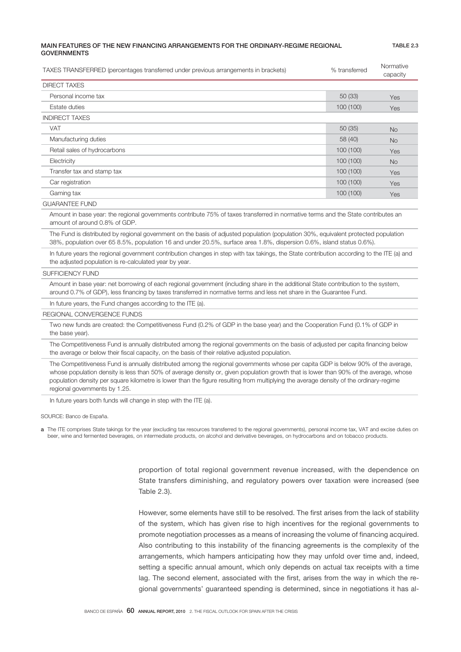## MAIN FEATURES OF THE NEW FINANCING ARRANGEMENTS FOR THE ORDINARY-REGIME REGIONAL **GOVERNMENTS**

TABLE 2.3

| TAXES TRANSFERRED (percentages transferred under previous arrangements in brackets)                                                                                                                                                                          | % transferred | Normative<br>capacity |  |  |  |  |  |
|--------------------------------------------------------------------------------------------------------------------------------------------------------------------------------------------------------------------------------------------------------------|---------------|-----------------------|--|--|--|--|--|
| <b>DIRECT TAXES</b>                                                                                                                                                                                                                                          |               |                       |  |  |  |  |  |
| Personal income tax                                                                                                                                                                                                                                          | 50(33)        | Yes                   |  |  |  |  |  |
| Estate duties                                                                                                                                                                                                                                                | 100(100)      | <b>Yes</b>            |  |  |  |  |  |
| <b>INDIRECT TAXES</b>                                                                                                                                                                                                                                        |               |                       |  |  |  |  |  |
| <b>VAT</b>                                                                                                                                                                                                                                                   | 50(35)        | <b>No</b>             |  |  |  |  |  |
| Manufacturing duties                                                                                                                                                                                                                                         | 58 (40)       | <b>No</b>             |  |  |  |  |  |
| Retail sales of hydrocarbons                                                                                                                                                                                                                                 | 100 (100)     | Yes                   |  |  |  |  |  |
| Electricity                                                                                                                                                                                                                                                  | 100 (100)     | <b>No</b>             |  |  |  |  |  |
| Transfer tax and stamp tax                                                                                                                                                                                                                                   | 100 (100)     | <b>Yes</b>            |  |  |  |  |  |
| Car registration                                                                                                                                                                                                                                             | 100(100)      | <b>Yes</b>            |  |  |  |  |  |
| Gaming tax                                                                                                                                                                                                                                                   | 100(100)      | <b>Yes</b>            |  |  |  |  |  |
| <b>GUARANTEE FUND</b>                                                                                                                                                                                                                                        |               |                       |  |  |  |  |  |
| Amount in base year: the regional governments contribute 75% of taxes transferred in normative terms and the State contributes an<br>amount of around 0.8% of GDP.                                                                                           |               |                       |  |  |  |  |  |
| The Fund is distributed by regional government on the basis of adjusted population (population 30%, equivalent protected population<br>38%, population over 65 8.5%, population 16 and under 20.5%, surface area 1.8%, dispersion 0.6%, island status 0.6%). |               |                       |  |  |  |  |  |
| In future years the regional government contribution changes in step with tax takings, the State contribution according to the ITE (a) and<br>the adjusted population is re-calculated year by year.                                                         |               |                       |  |  |  |  |  |
| <b>SUFFICIENCY FUND</b>                                                                                                                                                                                                                                      |               |                       |  |  |  |  |  |

 Amount in base year: net borrowing of each regional government (including share in the additional State contribution to the system, around 0.7% of GDP), less financing by taxes transferred in normative terms and less net share in the Guarantee Fund.

In future years, the Fund changes according to the ITE (a).

REGIONAL CONVERGENCE FUNDS

 Two new funds are created: the Competitiveness Fund (0.2% of GDP in the base year) and the Cooperation Fund (0.1% of GDP in the base year).

The Competitiveness Fund is annually distributed among the regional governments on the basis of adjusted per capita financing below the average or below their fiscal capacity, on the basis of their relative adjusted population.

 The Competitiveness Fund is annually distributed among the regional governments whose per capita GDP is below 90% of the average, whose population density is less than 50% of average density or, given population growth that is lower than 90% of the average, whose population density per square kilometre is lower than the figure resulting from multiplying the average density of the ordinary-regime regional governments by 1.25.

In future years both funds will change in step with the ITE (a).

SOURCE: Banco de España.

a The ITE comprises State takings for the year (excluding tax resources transferred to the regional governments), personal income tax, VAT and excise duties on beer, wine and fermented beverages, on intermediate products, on alcohol and derivative beverages, on hydrocarbons and on tobacco products.

> proportion of total regional government revenue increased, with the dependence on State transfers diminishing, and regulatory powers over taxation were increased (see Table 2.3).

> However, some elements have still to be resolved. The first arises from the lack of stability of the system, which has given rise to high incentives for the regional governments to promote negotiation processes as a means of increasing the volume of financing acquired. Also contributing to this instability of the financing agreements is the complexity of the arrangements, which hampers anticipating how they may unfold over time and, indeed, setting a specific annual amount, which only depends on actual tax receipts with a time lag. The second element, associated with the first, arises from the way in which the regional governments' guaranteed spending is determined, since in negotiations it has al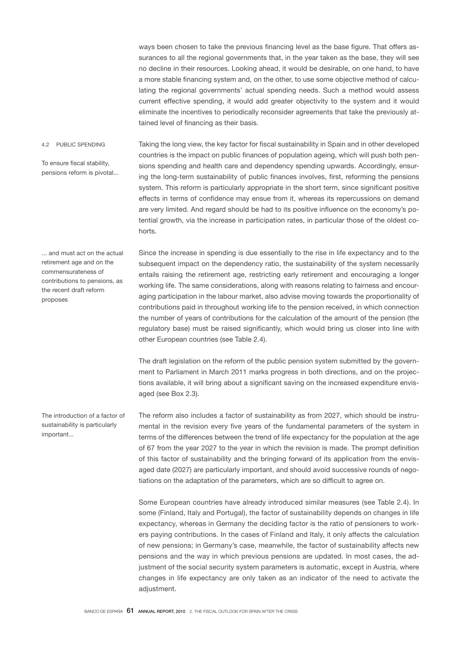ways been chosen to take the previous financing level as the base figure. That offers assurances to all the regional governments that, in the year taken as the base, they will see no decline in their resources. Looking ahead, it would be desirable, on one hand, to have a more stable financing system and, on the other, to use some objective method of calculating the regional governments' actual spending needs. Such a method would assess current effective spending, it would add greater objectivity to the system and it would eliminate the incentives to periodically reconsider agreements that take the previously attained level of financing as their basis.

Taking the long view, the key factor for fiscal sustainability in Spain and in other developed countries is the impact on public finances of population ageing, which will push both pensions spending and health care and dependency spending upwards. Accordingly, ensuring the long-term sustainability of public finances involves, first, reforming the pensions system. This reform is particularly appropriate in the short term, since significant positive effects in terms of confidence may ensue from it, whereas its repercussions on demand are very limited. And regard should be had to its positive influence on the economy's potential growth, via the increase in participation rates, in particular those of the oldest cohorts. 4.2 PUBLIC SPENDING To ensure fiscal stability, pensions reform is pivotal...

... and must act on the actual retirement age and on the commensurateness of contributions to pensions, as the recent draft reform proposes

Since the increase in spending is due essentially to the rise in life expectancy and to the subsequent impact on the dependency ratio, the sustainability of the system necessarily entails raising the retirement age, restricting early retirement and encouraging a longer working life. The same considerations, along with reasons relating to fairness and encouraging participation in the labour market, also advise moving towards the proportionality of contributions paid in throughout working life to the pension received, in which connection the number of years of contributions for the calculation of the amount of the pension (the regulatory base) must be raised significantly, which would bring us closer into line with other European countries (see Table 2.4).

The draft legislation on the reform of the public pension system submitted by the government to Parliament in March 2011 marks progress in both directions, and on the projections available, it will bring about a significant saving on the increased expenditure envisaged (see Box 2.3).

The reform also includes a factor of sustainability as from 2027, which should be instrumental in the revision every five years of the fundamental parameters of the system in terms of the differences between the trend of life expectancy for the population at the age of 67 from the year 2027 to the year in which the revision is made. The prompt definition of this factor of sustainability and the bringing forward of its application from the envisaged date (2027) are particularly important, and should avoid successive rounds of negotiations on the adaptation of the parameters, which are so difficult to agree on.

Some European countries have already introduced similar measures (see Table 2.4). In some (Finland, Italy and Portugal), the factor of sustainability depends on changes in life expectancy, whereas in Germany the deciding factor is the ratio of pensioners to workers paying contributions. In the cases of Finland and Italy, it only affects the calculation of new pensions; in Germany's case, meanwhile, the factor of sustainability affects new pensions and the way in which previous pensions are updated. In most cases, the adjustment of the social security system parameters is automatic, except in Austria, where changes in life expectancy are only taken as an indicator of the need to activate the adjustment.

The introduction of a factor of sustainability is particularly important...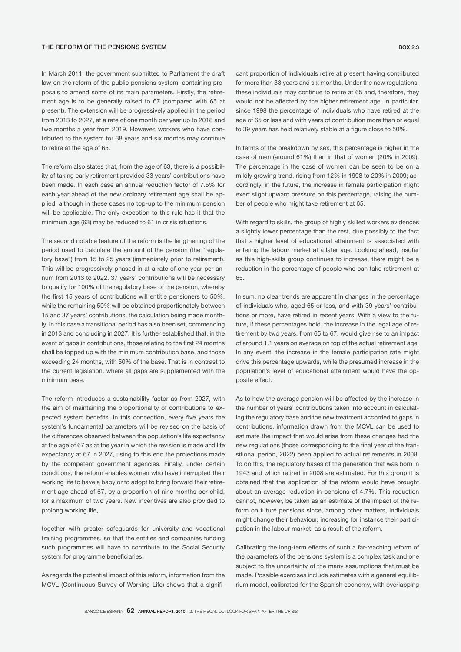### THE REFORM OF THE PENSIONS SYSTEM BOX 2.3

In March 2011, the government submitted to Parliament the draft law on the reform of the public pensions system, containing proposals to amend some of its main parameters. Firstly, the retirement age is to be generally raised to 67 (compared with 65 at present). The extension will be progressively applied in the period from 2013 to 2027, at a rate of one month per year up to 2018 and two months a year from 2019. However, workers who have contributed to the system for 38 years and six months may continue to retire at the age of 65.

The reform also states that, from the age of 63, there is a possibility of taking early retirement provided 33 years' contributions have been made. In each case an annual reduction factor of 7.5% for each year ahead of the new ordinary retirement age shall be applied, although in these cases no top-up to the minimum pension will be applicable. The only exception to this rule has it that the minimum age (63) may be reduced to 61 in crisis situations.

The second notable feature of the reform is the lengthening of the period used to calculate the amount of the pension (the "regulatory base") from 15 to 25 years (immediately prior to retirement). This will be progressively phased in at a rate of one year per annum from 2013 to 2022. 37 years' contributions will be necessary to qualify for 100% of the regulatory base of the pension, whereby the first 15 years of contributions will entitle pensioners to 50%, while the remaining 50% will be obtained proportionately between 15 and 37 years' contributions, the calculation being made monthly. In this case a transitional period has also been set, commencing in 2013 and concluding in 2027. It is further established that, in the event of gaps in contributions, those relating to the first 24 months shall be topped up with the minimum contribution base, and those exceeding 24 months, with 50% of the base. That is in contrast to the current legislation, where all gaps are supplemented with the minimum base.

The reform introduces a sustainability factor as from 2027, with the aim of maintaining the proportionality of contributions to expected system benefits. In this connection, every five years the system's fundamental parameters will be revised on the basis of the differences observed between the population's life expectancy at the age of 67 as at the year in which the revision is made and life expectancy at 67 in 2027, using to this end the projections made by the competent government agencies. Finally, under certain conditions, the reform enables women who have interrupted their working life to have a baby or to adopt to bring forward their retirement age ahead of 67, by a proportion of nine months per child, for a maximum of two years. New incentives are also provided to prolong working life,

together with greater safeguards for university and vocational training programmes, so that the entities and companies funding such programmes will have to contribute to the Social Security system for programme beneficiaries.

As regards the potential impact of this reform, information from the MCVL (Continuous Survey of Working Life) shows that a signifi-

cant proportion of individuals retire at present having contributed for more than 38 years and six months. Under the new regulations, these individuals may continue to retire at 65 and, therefore, they would not be affected by the higher retirement age. In particular, since 1998 the percentage of individuals who have retired at the age of 65 or less and with years of contribution more than or equal to 39 years has held relatively stable at a figure close to 50%.

In terms of the breakdown by sex, this percentage is higher in the case of men (around 61%) than in that of women (20% in 2009). The percentage in the case of women can be seen to be on a mildly growing trend, rising from 12% in 1998 to 20% in 2009; accordingly, in the future, the increase in female participation might exert slight upward pressure on this percentage, raising the number of people who might take retirement at 65.

With regard to skills, the group of highly skilled workers evidences a slightly lower percentage than the rest, due possibly to the fact that a higher level of educational attainment is associated with entering the labour market at a later age. Looking ahead, insofar as this high-skills group continues to increase, there might be a reduction in the percentage of people who can take retirement at 65.

In sum, no clear trends are apparent in changes in the percentage of individuals who, aged 65 or less, and with 39 years' contributions or more, have retired in recent years. With a view to the future, if these percentages hold, the increase in the legal age of retirement by two years, from 65 to 67, would give rise to an impact of around 1.1 years on average on top of the actual retirement age. In any event, the increase in the female participation rate might drive this percentage upwards, while the presumed increase in the population's level of educational attainment would have the opposite effect.

As to how the average pension will be affected by the increase in the number of years' contributions taken into account in calculating the regulatory base and the new treatment accorded to gaps in contributions, information drawn from the MCVL can be used to estimate the impact that would arise from these changes had the new regulations (those corresponding to the final year of the transitional period, 2022) been applied to actual retirements in 2008. To do this, the regulatory bases of the generation that was born in 1943 and which retired in 2008 are estimated. For this group it is obtained that the application of the reform would have brought about an average reduction in pensions of 4.7%. This reduction cannot, however, be taken as an estimate of the impact of the reform on future pensions since, among other matters, individuals might change their behaviour, increasing for instance their participation in the labour market, as a result of the reform.

Calibrating the long-term effects of such a far-reaching reform of the parameters of the pensions system is a complex task and one subject to the uncertainty of the many assumptions that must be made. Possible exercises include estimates with a general equilibrium model, calibrated for the Spanish economy, with overlapping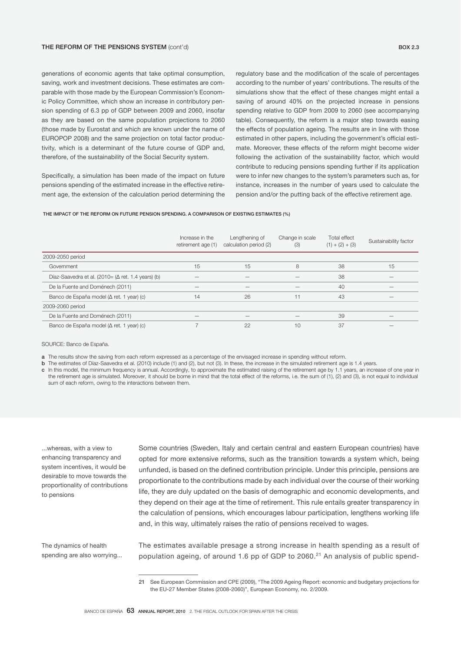generations of economic agents that take optimal consumption, saving, work and investment decisions. These estimates are comparable with those made by the European Commission's Economic Policy Committee, which show an increase in contributory pension spending of 6.3 pp of GDP between 2009 and 2060, insofar as they are based on the same population projections to 2060 (those made by Eurostat and which are known under the name of EUROPOP 2008) and the same projection on total factor productivity, which is a determinant of the future course of GDP and, therefore, of the sustainability of the Social Security system.

Specifically, a simulation has been made of the impact on future pensions spending of the estimated increase in the effective retirement age, the extension of the calculation period determining the

regulatory base and the modification of the scale of percentages according to the number of years' contributions. The results of the simulations show that the effect of these changes might entail a saving of around 40% on the projected increase in pensions spending relative to GDP from 2009 to 2060 (see accompanying table). Consequently, the reform is a major step towards easing the effects of population ageing. The results are in line with those estimated in other papers, including the government's official estimate. Moreover, these effects of the reform might become wider following the activation of the sustainability factor, which would contribute to reducing pensions spending further if its application were to infer new changes to the system's parameters such as, for instance, increases in the number of years used to calculate the pension and/or the putting back of the effective retirement age.

#### THE IMPACT OF THE REFORM ON FUTURE PENSION SPENDING. A COMPARISON OF EXISTING ESTIMATES (%)

|                                                           | Increase in the<br>retirement age (1) | Lengthening of<br>calculation period (2) | Change in scale<br>(3) | Total effect<br>$(1) + (2) + (3)$ | Sustainability factor |
|-----------------------------------------------------------|---------------------------------------|------------------------------------------|------------------------|-----------------------------------|-----------------------|
| 2009-2050 period                                          |                                       |                                          |                        |                                   |                       |
| Government                                                | 15                                    | 15                                       | 8                      | 38                                | 15                    |
| Díaz-Saavedra et al. (2010= $(\Delta$ ret. 1.4 years) (b) |                                       |                                          |                        | 38                                |                       |
| De la Fuente and Doménech (2011)                          |                                       |                                          |                        | 40                                | –                     |
| Banco de España model ( $\Delta$ ret. 1 year) (c)         | 14                                    | 26                                       | 11                     | 43                                |                       |
| 2009-2060 period                                          |                                       |                                          |                        |                                   |                       |
| De la Fuente and Doménech (2011)                          |                                       |                                          |                        | 39                                |                       |
| Banco de España model ( $\Delta$ ret. 1 year) (c)         |                                       | 22                                       | 10                     | 37                                | –                     |

SOURCE: Banco de España.

a The results show the saving from each reform expressed as a percentage of the envisaged increase in spending without reform.

b The estimates of Díaz-Saavedra et al. (2010) include (1) and (2), but not (3). In these, the increase in the simulated retirement age is 1.4 years.

c In this model, the minimum frequency is annual. Accordingly, to approximate the estimated raising of the retirement age by 1.1 years, an increase of one year in the retirement age is simulated. Moreover, it should be borne in mind that the total effect of the reforms, i.e. the sum of (1), (2) and (3), is not equal to individual sum of each reform, owing to the interactions between them.

...whereas, with a view to enhancing transparency and system incentives, it would be desirable to move towards the proportionality of contributions to pensions

Some countries (Sweden, Italy and certain central and eastern European countries) have opted for more extensive reforms, such as the transition towards a system which, being unfunded, is based on the defined contribution principle. Under this principle, pensions are proportionate to the contributions made by each individual over the course of their working life, they are duly updated on the basis of demographic and economic developments, and they depend on their age at the time of retirement. This rule entails greater transparency in the calculation of pensions, which encourages labour participation, lengthens working life and, in this way, ultimately raises the ratio of pensions received to wages.

The dynamics of health spending are also worrying... The estimates available presage a strong increase in health spending as a result of population ageing, of around 1.6 pp of GDP to 2060.<sup>21</sup> An analysis of public spend-

<sup>21</sup> See European Commission and CPE (2009), "The 2009 Ageing Report: economic and budgetary projections for the EU-27 Member States (2008-2060)", European Economy, no. 2/2009.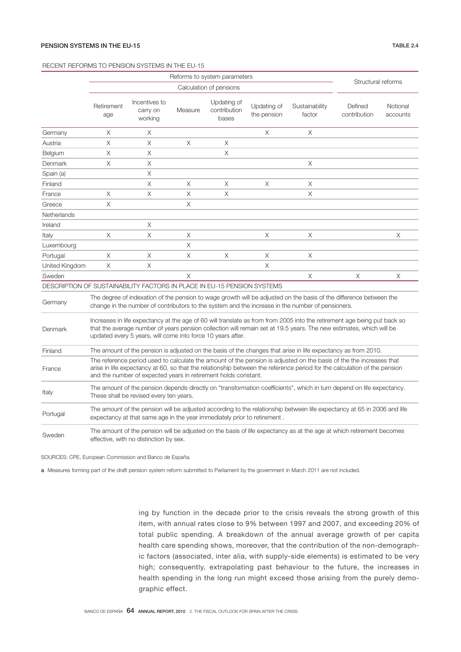### RECENT REFORMS TO PENSION SYSTEMS IN THE EU-15

|                                                                                                                                                                                                                                                                                                                           | Reforms to system parameters<br>Calculation of pensions                                                                                                                                                                                                                                                           |                                        |         |                                      |                            |                                                                                                                                                                                                                        | Structural reforms      |                      |
|---------------------------------------------------------------------------------------------------------------------------------------------------------------------------------------------------------------------------------------------------------------------------------------------------------------------------|-------------------------------------------------------------------------------------------------------------------------------------------------------------------------------------------------------------------------------------------------------------------------------------------------------------------|----------------------------------------|---------|--------------------------------------|----------------------------|------------------------------------------------------------------------------------------------------------------------------------------------------------------------------------------------------------------------|-------------------------|----------------------|
|                                                                                                                                                                                                                                                                                                                           |                                                                                                                                                                                                                                                                                                                   |                                        |         |                                      |                            |                                                                                                                                                                                                                        |                         |                      |
|                                                                                                                                                                                                                                                                                                                           | Retirement<br>age                                                                                                                                                                                                                                                                                                 | Incentives to<br>carry on<br>working   | Measure | Updating of<br>contribution<br>bases | Updating of<br>the pension | Sustainability<br>factor                                                                                                                                                                                               | Defined<br>contribution | Notional<br>accounts |
| Germany                                                                                                                                                                                                                                                                                                                   | X                                                                                                                                                                                                                                                                                                                 | X                                      |         |                                      | X                          | X                                                                                                                                                                                                                      |                         |                      |
| Austria                                                                                                                                                                                                                                                                                                                   | X                                                                                                                                                                                                                                                                                                                 | X                                      | X       | X                                    |                            |                                                                                                                                                                                                                        |                         |                      |
| Belgium                                                                                                                                                                                                                                                                                                                   | Χ                                                                                                                                                                                                                                                                                                                 | X                                      |         | $\times$                             |                            |                                                                                                                                                                                                                        |                         |                      |
| Denmark                                                                                                                                                                                                                                                                                                                   | X                                                                                                                                                                                                                                                                                                                 | X                                      |         |                                      |                            | X                                                                                                                                                                                                                      |                         |                      |
| Spain (a)                                                                                                                                                                                                                                                                                                                 |                                                                                                                                                                                                                                                                                                                   | $\times$                               |         |                                      |                            |                                                                                                                                                                                                                        |                         |                      |
| Finland                                                                                                                                                                                                                                                                                                                   |                                                                                                                                                                                                                                                                                                                   | X                                      | X       | X                                    | X                          | X                                                                                                                                                                                                                      |                         |                      |
| France                                                                                                                                                                                                                                                                                                                    | $\times$                                                                                                                                                                                                                                                                                                          | $\times$                               | X       | $\times$                             |                            | X                                                                                                                                                                                                                      |                         |                      |
| Greece                                                                                                                                                                                                                                                                                                                    | $\times$                                                                                                                                                                                                                                                                                                          |                                        | X       |                                      |                            |                                                                                                                                                                                                                        |                         |                      |
| Netherlands                                                                                                                                                                                                                                                                                                               |                                                                                                                                                                                                                                                                                                                   |                                        |         |                                      |                            |                                                                                                                                                                                                                        |                         |                      |
| Ireland                                                                                                                                                                                                                                                                                                                   |                                                                                                                                                                                                                                                                                                                   | X                                      |         |                                      |                            |                                                                                                                                                                                                                        |                         |                      |
| Italy                                                                                                                                                                                                                                                                                                                     | X                                                                                                                                                                                                                                                                                                                 | X                                      | Χ       |                                      | X                          | X                                                                                                                                                                                                                      |                         | Χ                    |
| Luxembourg                                                                                                                                                                                                                                                                                                                |                                                                                                                                                                                                                                                                                                                   |                                        | X       |                                      |                            |                                                                                                                                                                                                                        |                         |                      |
| Portugal                                                                                                                                                                                                                                                                                                                  | Χ                                                                                                                                                                                                                                                                                                                 | X                                      | X       | X                                    | Χ                          | X                                                                                                                                                                                                                      |                         |                      |
| United Kingdom                                                                                                                                                                                                                                                                                                            | X                                                                                                                                                                                                                                                                                                                 | Χ                                      |         |                                      | X                          |                                                                                                                                                                                                                        |                         |                      |
| Sweden                                                                                                                                                                                                                                                                                                                    |                                                                                                                                                                                                                                                                                                                   |                                        | X       |                                      |                            | Χ                                                                                                                                                                                                                      | X                       | X                    |
| DESCRIPTION OF SUSTAINABILITY FACTORS IN PLACE IN EU-15 PENSION SYSTEMS                                                                                                                                                                                                                                                   |                                                                                                                                                                                                                                                                                                                   |                                        |         |                                      |                            |                                                                                                                                                                                                                        |                         |                      |
| Germany                                                                                                                                                                                                                                                                                                                   |                                                                                                                                                                                                                                                                                                                   |                                        |         |                                      |                            | The degree of indexation of the pension to wage growth will be adjusted on the basis of the difference between the<br>change in the number of contributors to the system and the increase in the number of pensioners. |                         |                      |
| Increases in life expectancy at the age of 60 will translate as from from 2005 into the retirement age being put back so<br>that the average number of years pension collection will remain set at 19.5 years. The new estimates, which will be<br>Denmark<br>updated every 5 years, will come into force 10 years after. |                                                                                                                                                                                                                                                                                                                   |                                        |         |                                      |                            |                                                                                                                                                                                                                        |                         |                      |
| Finland                                                                                                                                                                                                                                                                                                                   |                                                                                                                                                                                                                                                                                                                   |                                        |         |                                      |                            | The amount of the pension is adjusted on the basis of the changes that arise in life expectancy as from 2010.                                                                                                          |                         |                      |
| France                                                                                                                                                                                                                                                                                                                    | The reference period used to calculate the amount of the pension is adjusted on the basis of the the increases that<br>arise in life expectancy at 60, so that the relationship between the reference period for the calculation of the pension<br>and the number of expected years in retirement holds constant. |                                        |         |                                      |                            |                                                                                                                                                                                                                        |                         |                      |
| Italy                                                                                                                                                                                                                                                                                                                     | The amount of the pension depends directly on "transformation coefficients", which in turn depend on life expectancy.<br>These shall be revised every ten years.                                                                                                                                                  |                                        |         |                                      |                            |                                                                                                                                                                                                                        |                         |                      |
| Portugal                                                                                                                                                                                                                                                                                                                  | The amount of the pension will be adjusted according to the relationship between life expectancy at 65 in 2006 and life<br>expectancy at that same age in the year immediately prior to retirement.                                                                                                               |                                        |         |                                      |                            |                                                                                                                                                                                                                        |                         |                      |
| Sweden                                                                                                                                                                                                                                                                                                                    |                                                                                                                                                                                                                                                                                                                   | effective, with no distinction by sex. |         |                                      |                            | The amount of the pension will be adjusted on the basis of life expectancy as at the age at which retirement becomes                                                                                                   |                         |                      |

SOURCES: CPE, European Commission and Banco de España.

a Measures forming part of the draft pension system reform submitted to Parliament by the government in March 2011 are not included.

ing by function in the decade prior to the crisis reveals the strong growth of this item, with annual rates close to 9% between 1997 and 2007, and exceeding 20% of total public spending. A breakdown of the annual average growth of per capita health care spending shows, moreover, that the contribution of the non-demographic factors (associated, inter alia, with supply-side elements) is estimated to be very high; consequently, extrapolating past behaviour to the future, the increases in health spending in the long run might exceed those arising from the purely demographic effect.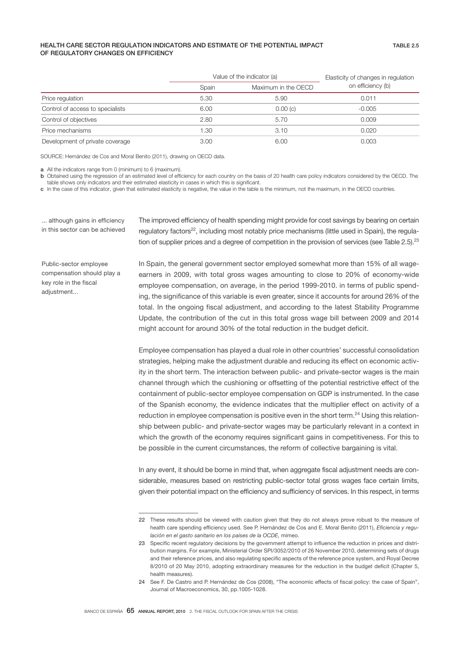## HEALTH CARE SECTOR REGULATION INDICATORS AND ESTIMATE OF THE POTENTIAL IMPACT OF REGULATORY CHANGES ON EFFICIENCY

|                                  |                              | Value of the indicator (a) | Elasticity of changes in regulation |  |
|----------------------------------|------------------------------|----------------------------|-------------------------------------|--|
|                                  | Maximum in the OECD<br>Spain |                            | on efficiency (b)                   |  |
| Price regulation                 | 5.30                         | 5.90                       | 0.011                               |  |
| Control of access to specialists | 6.00                         | 0.00(c)                    | $-0.005$                            |  |
| Control of objectives            | 2.80                         | 5.70                       | 0.009                               |  |
| Price mechanisms                 | 1.30                         | 3.10                       | 0.020                               |  |
| Development of private coverage  | 3.00                         | 6.00                       | 0.003                               |  |

SOURCE: Hernández de Cos and Moral Benito (2011), drawing on OECD data.

a All the indicators range from 0 (minimum) to 6 (maximum).

**b** Obtained using the regression of an estimated level of efficiency for each country on the basis of 20 health care policy indicators considered by the OECD. The table shows only indicators and their estimated elasticity in cases in which this is significant.

c In the case of this indicator, given that estimated elasticity is negative, the value in the table is the minimum, not the maximum, in the OECD countries.

... although gains in efficiency in this sector can be achieved

Public-sector employee compensation should play a key role in the fiscal adiustment...

The improved efficiency of health spending might provide for cost savings by bearing on certain regulatory factors $22$ , including most notably price mechanisms (little used in Spain), the regulation of supplier prices and a degree of competition in the provision of services (see Table 2.5).<sup>23</sup>

In Spain, the general government sector employed somewhat more than 15% of all wageearners in 2009, with total gross wages amounting to close to 20% of economy-wide employee compensation, on average, in the period 1999-2010. in terms of public spending, the significance of this variable is even greater, since it accounts for around 26% of the total. In the ongoing fiscal adjustment, and according to the latest Stability Programme Update, the contribution of the cut in this total gross wage bill between 2009 and 2014 might account for around 30% of the total reduction in the budget deficit.

Employee compensation has played a dual role in other countries' successful consolidation strategies, helping make the adjustment durable and reducing its effect on economic activity in the short term. The interaction between public- and private-sector wages is the main channel through which the cushioning or offsetting of the potential restrictive effect of the containment of public-sector employee compensation on GDP is instrumented. In the case of the Spanish economy, the evidence indicates that the multiplier effect on activity of a reduction in employee compensation is positive even in the short term. $^{24}$  Using this relationship between public- and private-sector wages may be particularly relevant in a context in which the growth of the economy requires significant gains in competitiveness. For this to be possible in the current circumstances, the reform of collective bargaining is vital.

In any event, it should be borne in mind that, when aggregate fiscal adjustment needs are considerable, measures based on restricting public-sector total gross wages face certain limits, given their potential impact on the efficiency and sufficiency of services. In this respect, in terms

<sup>22</sup> These results should be viewed with caution given that they do not always prove robust to the measure of health care spending efficiency used. See P. Hernández de Cos and E. Moral Benito (2011), *Eficiencia y regulación en el gasto sanitario en los países de la OCDE,* mimeo.

<sup>23</sup> Specific recent regulatory decisions by the government attempt to influence the reduction in prices and distribution margins. For example, Ministerial Order SPI/3052/2010 of 26 November 2010, determining sets of drugs and their reference prices, and also regulating specific aspects of the reference price system, and Royal Decree 8/2010 of 20 May 2010, adopting extraordinary measures for the reduction in the budget deficit (Chapter 5, health measures).

<sup>24</sup> See F. De Castro and P. Hernández de Cos (2008), "The economic effects of fiscal policy: the case of Spain", Journal of Macroeconomics, 30, pp.1005-1028.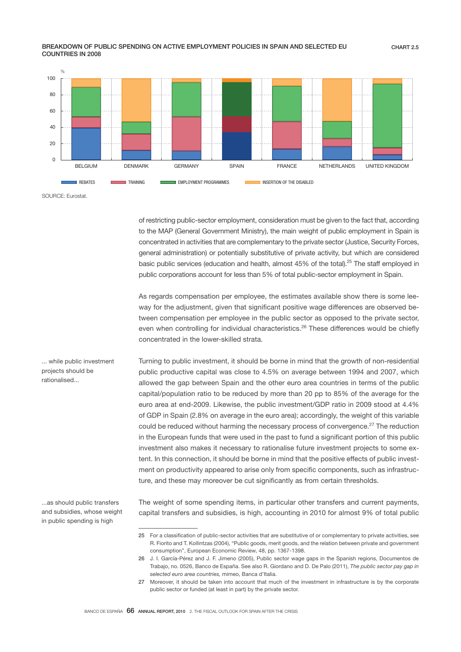## BREAKDOWN OF PUBLIC SPENDING ON ACTIVE EMPLOYMENT POLICIES IN SPAIN AND SELECTED EU COUNTRIES IN 2008



SOURCE: Eurostat.

of restricting public-sector employment, consideration must be given to the fact that, according to the MAP (General Government Ministry), the main weight of public employment in Spain is concentrated in activities that are complementary to the private sector (Justice, Security Forces, general administration) or potentially substitutive of private activity, but which are considered basic public services (education and health, almost 45% of the total).<sup>25</sup> The staff employed in public corporations account for less than 5% of total public-sector employment in Spain.

As regards compensation per employee, the estimates available show there is some leeway for the adjustment, given that significant positive wage differences are observed between compensation per employee in the public sector as opposed to the private sector, even when controlling for individual characteristics.<sup>26</sup> These differences would be chiefly concentrated in the lower-skilled strata.

Turning to public investment, it should be borne in mind that the growth of non-residential public productive capital was close to 4.5% on average between 1994 and 2007, which allowed the gap between Spain and the other euro area countries in terms of the public capital/population ratio to be reduced by more than 20 pp to 85% of the average for the euro area at end-2009. Likewise, the public investment/GDP ratio in 2009 stood at 4.4% of GDP in Spain (2.8% on average in the euro area); accordingly, the weight of this variable could be reduced without harming the necessary process of convergence.<sup>27</sup> The reduction in the European funds that were used in the past to fund a significant portion of this public investment also makes it necessary to rationalise future investment projects to some extent. In this connection, it should be borne in mind that the positive effects of public investment on productivity appeared to arise only from specific components, such as infrastructure, and these may moreover be cut significantly as from certain thresholds.

...as should public transfers and subsidies, whose weight in public spending is high

... while public investment projects should be rationalised...

> The weight of some spending items, in particular other transfers and current payments, capital transfers and subsidies, is high, accounting in 2010 for almost 9% of total public

<sup>25</sup> For a classification of public-sector activities that are substitutive of or complementary to private activities, see R. Fiorito and T. Kollintzas (2004), "Public goods, merit goods, and the relation between private and government consumption", European Economic Review, 48, pp. 1367-1398.

<sup>26</sup> J. I. García-Pérez and J. F. Jimeno (2005), Public sector wage gaps in the Spanish regions, Documentos de Trabajo, no. 0526, Banco de España. See also R. Giordano and D. De Palo (2011), *The public sector pay gap in selected euro area countries,* mimeo, Banca d'Italia.

<sup>27</sup> Moreover, it should be taken into account that much of the investment in infrastructure is by the corporate public sector or funded (at least in part) by the private sector.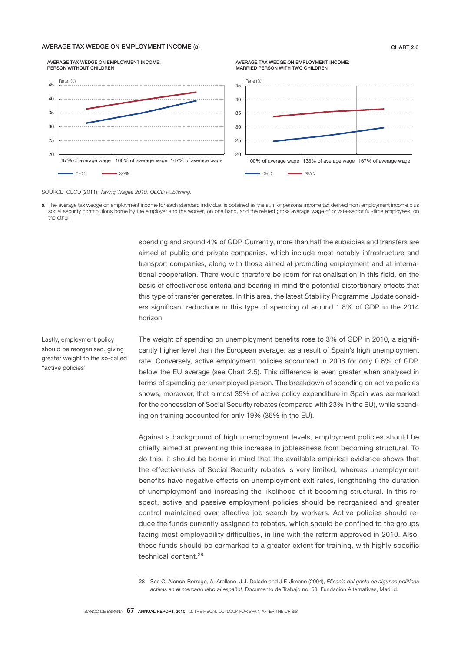## AVERAGE TAX WEDGE ON EMPLOYMENT INCOME (a) CHART 2.6



# AVERAGE TAX WEDGE ON EMPLOYMENT INCOME:

## SOURCE: OECD (2011), *Taxing Wages 2010, OECD Publishing.*



spending and around 4% of GDP. Currently, more than half the subsidies and transfers are aimed at public and private companies, which include most notably infrastructure and transport companies, along with those aimed at promoting employment and at international cooperation. There would therefore be room for rationalisation in this field, on the basis of effectiveness criteria and bearing in mind the potential distortionary effects that this type of transfer generates. In this area, the latest Stability Programme Update considers significant reductions in this type of spending of around 1.8% of GDP in the 2014 horizon.

AVERAGE TAX WEDGE ON EMPLOYMENT INCOME:

Lastly, employment policy should be reorganised, giving greater weight to the so-called "active policies"

The weight of spending on unemployment benefits rose to 3% of GDP in 2010, a significantly higher level than the European average, as a result of Spain's high unemployment rate. Conversely, active employment policies accounted in 2008 for only 0.6% of GDP, below the EU average (see Chart 2.5). This difference is even greater when analysed in terms of spending per unemployed person. The breakdown of spending on active policies shows, moreover, that almost 35% of active policy expenditure in Spain was earmarked for the concession of Social Security rebates (compared with 23% in the EU), while spending on training accounted for only 19% (36% in the EU).

Against a background of high unemployment levels, employment policies should be chiefly aimed at preventing this increase in joblessness from becoming structural. To do this, it should be borne in mind that the available empirical evidence shows that the effectiveness of Social Security rebates is very limited, whereas unemployment benefits have negative effects on unemployment exit rates, lengthening the duration of unemployment and increasing the likelihood of it becoming structural. In this respect, active and passive employment policies should be reorganised and greater control maintained over effective job search by workers. Active policies should reduce the funds currently assigned to rebates, which should be confined to the groups facing most employability difficulties, in line with the reform approved in 2010. Also, these funds should be earmarked to a greater extent for training, with highly specific technical content.<sup>28</sup>

<sup>28</sup> See C. Alonso-Borrego, A. Arellano, J.J. Dolado and J.F. Jimeno (2004), *Eficacia del gasto en algunas políticas activas en el mercado laboral español,* Documento de Trabajo no. 53, Fundación Alternativas, Madrid.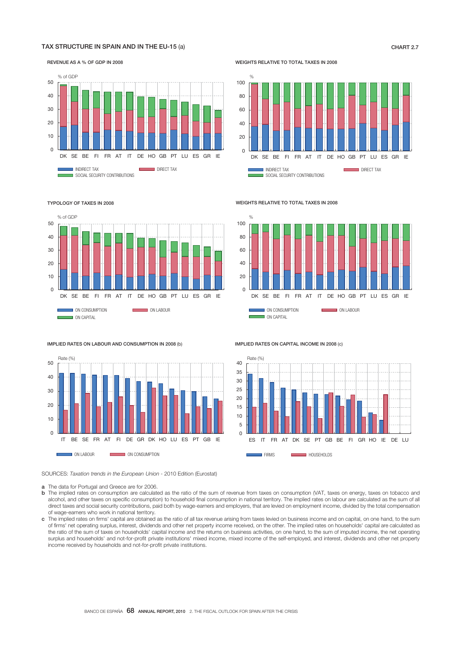## TAX STRUCTURE IN SPAIN AND IN THE EU-15 (a) CHART 2.7 CHART 2.7

í

REVENUE AS A % OF GDP IN 2008



WEIGHTS RELATIVE TO TOTAL TAXES IN 2008



#### TYPOLOGY OF TAXES IN 2008



 $\alpha$ 

IMPLIED RATES ON CAPITAL INCOME IN 2008 (c)

WEIGHTS RELATIVE TO TOTAL TAXES IN 2008



ES IT FR AT DK SE PT GB BE FI GR HO IE DE LU

**FIRMS HOUSEHOLDS** 

IMPLIED RATES ON LABOUR AND CONSUMPTION IN 2008 (b)



SOURCES: *Taxation trends in the European Union -* 2010 Edition (Eurostat)

a The data for Portugal and Greece are for 2006.

b The implied rates on consumption are calculated as the ratio of the sum of revenue from taxes on consumption (VAT, taxes on energy, taxes on tobacco and alcohol, and other taxes on specific consumption) to household final consumption in national territory. The implied rates on labour are calculated as the sum of all direct taxes and social security contributions, paid both by wage-earners and employers, that are levied on employment income, divided by the total compensation of wage-earners who work in national territory.

Rate (%)

c The implied rates on jrms' capital are obtained as the ratio of all tax revenue arising from taxes levied on business income and on capital, on one hand, to the sum of jrms' net operating surplus, interest, dividends and other net property income received, on the other. The implied rates on households' capital are calculated as the ratio of the sum of taxes on households' capital income and the returns on business activities, on one hand, to the sum of imputed income, the net operating surplus and households' and not-for-profit private institutions' mixed income, mixed income of the self-employed, and interest, dividends and other net property income received by households and not-for-profit private institutions.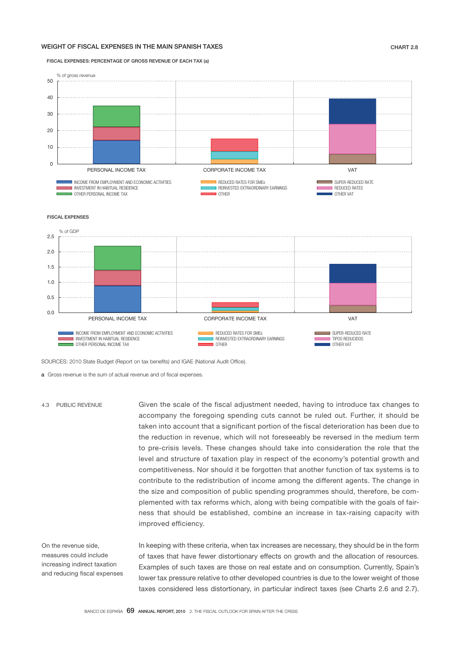## WEIGHT OF FISCAL EXPENSES IN THE MAIN SPANISH TAXES CHART 2.8

FISCAL EXPENSES: PERCENTAGE OF GROSS REVENUE OF EACH TAX (a)



FISCAL EXPENSES



SOURCES: 2010 State Budget (Report on tax benefits) and IGAE (National Audit Office).

a Gross revenue is the sum of actual revenue and of fiscal expenses.

Given the scale of the fiscal adjustment needed, having to introduce tax changes to accompany the foregoing spending cuts cannot be ruled out. Further, it should be taken into account that a significant portion of the fiscal deterioration has been due to the reduction in revenue, which will not foreseeably be reversed in the medium term to pre-crisis levels. These changes should take into consideration the role that the level and structure of taxation play in respect of the economy's potential growth and competitiveness. Nor should it be forgotten that another function of tax systems is to contribute to the redistribution of income among the different agents. The change in the size and composition of public spending programmes should, therefore, be complemented with tax reforms which, along with being compatible with the goals of fairness that should be established, combine an increase in tax-raising capacity with improved efficiency. 4.3 PUBLIC REVENUE

On the revenue side, measures could include increasing indirect taxation and reducing fiscal expenses In keeping with these criteria, when tax increases are necessary, they should be in the form of taxes that have fewer distortionary effects on growth and the allocation of resources. Examples of such taxes are those on real estate and on consumption. Currently, Spain's lower tax pressure relative to other developed countries is due to the lower weight of those taxes considered less distortionary, in particular indirect taxes (see Charts 2.6 and 2.7).